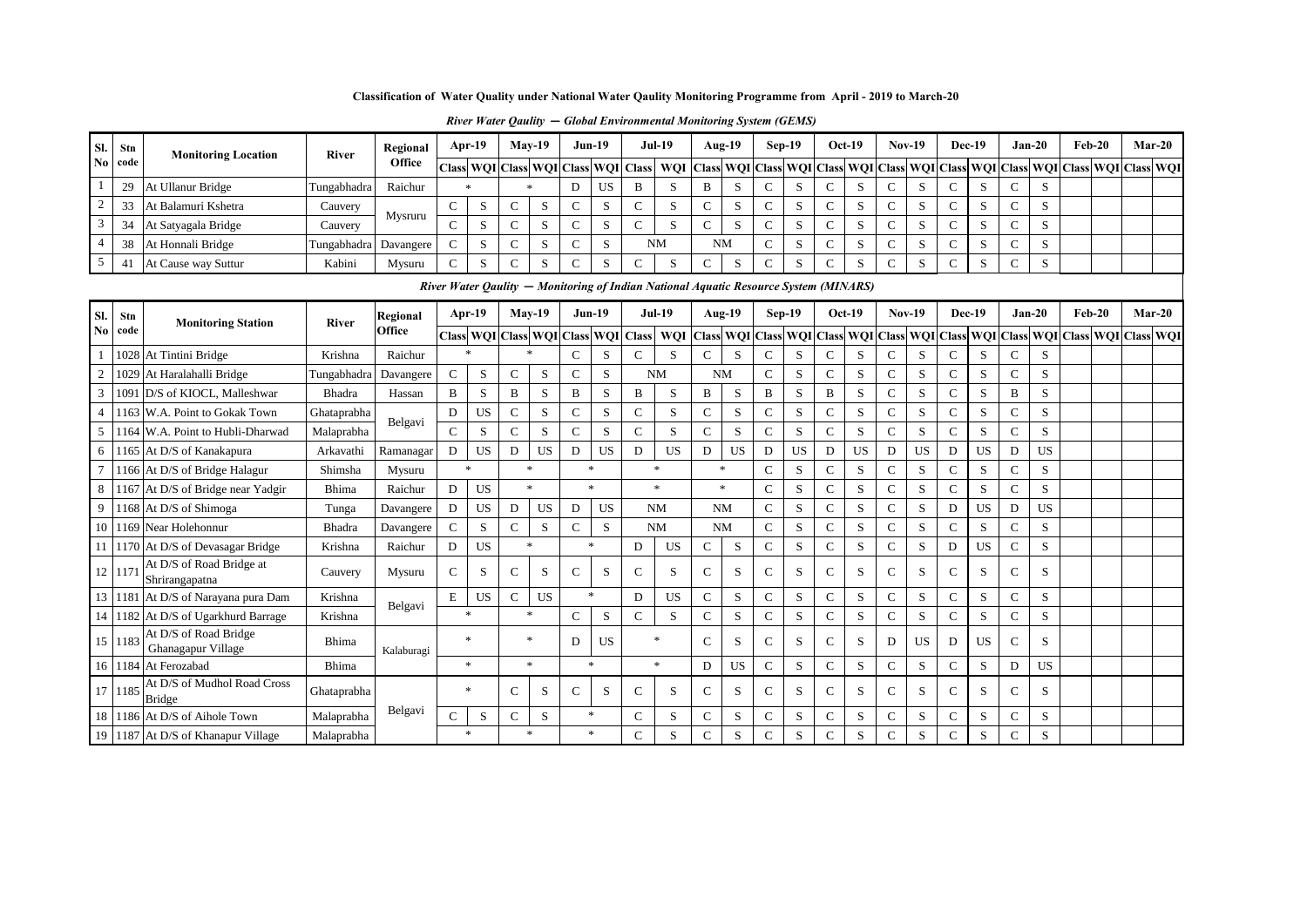## **Classification of Water Quality under National Water Qaulity Monitoring Programme from April - 2019 to March-20**

| SI.            | Stn     | <b>Monitoring Location</b> | <b>River</b>            | Regional | Apr-19 | $Mav-19$ | $Jun-19$ |                                                 | <b>Jul-19</b>                                                                                                   |        | Aug-19        |                                                                                      | Sep-19 |  | $Oct-19$ |        | $Nov-19$ |  | Dec-19              |             | $Jan-20$ | $Feb-20$ |  | $Mar-20$ |  |
|----------------|---------|----------------------------|-------------------------|----------|--------|----------|----------|-------------------------------------------------|-----------------------------------------------------------------------------------------------------------------|--------|---------------|--------------------------------------------------------------------------------------|--------|--|----------|--------|----------|--|---------------------|-------------|----------|----------|--|----------|--|
|                | No code |                            |                         | Office   |        |          |          | Class   WQI   Class   WQI   Class   WQI   Class | WQI  Class  WQI  Class  WQI  Class  WQI  Class  WQI  Class  WQI  Class  WQI  Class  WQI  Class  WQI  Class  WQI |        |               |                                                                                      |        |  |          |        |          |  |                     |             |          |          |  |          |  |
|                | 29      | At Ullanur Bridge          | Tungabhadra             | Raichur  |        |          | US       | B                                               | د                                                                                                               |        | د،            |                                                                                      |        |  | ാ        | $\sim$ |          |  | $\mathbf{C}$<br>- 3 | $\sim$      |          |          |  |          |  |
| $\sqrt{2}$     | 33      | At Balamuri Kshetra        | Cauvery                 | Mysruru  |        | D.       | - 20     |                                                 |                                                                                                                 |        | $\mathcal{D}$ |                                                                                      |        |  | - 20     |        |          |  | J.                  | $\sim$<br>◡ |          |          |  |          |  |
| 3              | 34      | At Satyagala Bridge        | Cauvery                 |          |        |          | D.       |                                                 |                                                                                                                 |        |               |                                                                                      |        |  | د.       | $\sim$ |          |  | $\sim$              | $\sim$<br>◡ |          |          |  |          |  |
| $\overline{4}$ | 38      | At Honnali Bridge          | Tungabhadra   Davangere |          |        |          | D.       |                                                 | <b>NM</b>                                                                                                       |        | <b>NM</b>     | $\sim$<br>◡                                                                          |        |  | د.       | $\sim$ |          |  | $\sim$              | $\sim$      |          |          |  |          |  |
|                | 41      | At Cause way Suttur        | Kabini                  | Mysuru   |        |          | D.       |                                                 |                                                                                                                 | $\sim$ | $\sim$<br>ъ.  |                                                                                      |        |  | A        | $\sim$ |          |  | $\sim$              | $\sim$      | $\sim$   |          |  |          |  |
|                |         |                            |                         |          |        |          |          |                                                 |                                                                                                                 |        |               | River Water Oaulity – Monitoring of Indian National Aquatic Resource System (MINARS) |        |  |          |        |          |  |                     |             |          |          |  |          |  |

*River Water Qaulity* **—** *Monitoring of Indian National Aquatic Resource System (MINARS)* 

| Sl.            | Stn     | <b>Monitoring Station</b>                    | <b>River</b>  | Regional   |               | $Apr-19$                  |               | $May-19$  | $Jun-19$      |           |                  | <b>Jul-19</b>       | Aug-19        |           |               | $Sep-19$  | $Oct-19$      |           | <b>Nov-19</b>  |           |               | <b>Dec-19</b> | $Jan-20$      |           | $Feb-20$ | $Mar-20$                                                                                  |  |
|----------------|---------|----------------------------------------------|---------------|------------|---------------|---------------------------|---------------|-----------|---------------|-----------|------------------|---------------------|---------------|-----------|---------------|-----------|---------------|-----------|----------------|-----------|---------------|---------------|---------------|-----------|----------|-------------------------------------------------------------------------------------------|--|
| No             | code    |                                              |               | Office     |               | Class WQI Class WQI Class |               |           |               |           | <b>WQI</b> Class | WQI                 |               |           |               |           |               |           |                |           |               |               |               |           |          | Class WQI Class WQI Class WQI Class WQI Class WQI Class WQI Class WQI Class WQI Class WQI |  |
|                |         | 1028 At Tintini Bridge                       | Krishna       | Raichur    |               | $\ast$                    | 业             |           | $\mathcal{C}$ | S         | $\mathbf C$      | S                   | $\mathcal{C}$ | S         | C             | S         | C             | S         | $\mathcal{C}$  | S.        | $\mathcal{C}$ | S             | $\mathcal{C}$ | S         |          |                                                                                           |  |
| $\overline{2}$ | 1029    | At Haralahalli Bridge                        | Tungabhadra   | Davangere  | $\mathcal{C}$ | S                         | $\mathbf C$   | S         | $\mathbf C$   | S         |                  | <b>NM</b>           | <b>NM</b>     |           | $\mathcal{C}$ | S         | $\mathsf{C}$  | S         | C              | S         | $\mathcal{C}$ | S             | $\mathbf C$   | S         |          |                                                                                           |  |
| $\mathbf{3}$   | 1091    | D/S of KIOCL, Malleshwar                     | <b>Bhadra</b> | Hassan     | B             | S                         | B             | S         | B             | S         | B                | S                   | B             | S         | B             | S         | B             | S         | C              | S         |               | S             | B             | S         |          |                                                                                           |  |
| $\overline{4}$ |         | 1163 W.A. Point to Gokak Town                | Ghataprabha   | Belgavi    | D             | <b>US</b>                 | $\mathcal{C}$ | S.        | $\mathbf C$   | S         | $\mathcal{C}$    | S.                  | $\mathcal{C}$ | S         | $\mathcal{C}$ | S         | C             | S         | $\mathcal{C}$  | S         | $\mathsf{C}$  | S             | $\mathcal{C}$ | S         |          |                                                                                           |  |
| 5 <sup>5</sup> |         | 1164 W.A. Point to Hubli-Dharwad             | Malaprabha    |            | $\mathcal{C}$ | S                         | $\mathcal{C}$ | S.        | $\mathcal{C}$ | S         | $\mathbf C$      | S.                  | $\mathcal{C}$ | S         | $\mathcal{C}$ | S         | $\mathsf{C}$  | S         | C              | S         | $\mathsf{C}$  | S             | $\mathcal{C}$ | S         |          |                                                                                           |  |
| 6              |         | 1165 At D/S of Kanakapura                    | Arkavathi     | Ramanagar  | D             | <b>US</b>                 | D             | <b>US</b> | D             | <b>US</b> | D                | <b>US</b>           | D             | <b>US</b> | D             | <b>US</b> | D             | <b>US</b> | D              | US        | D             | <b>US</b>     | D             | US        |          |                                                                                           |  |
| $7^{\circ}$    |         | 1166 At D/S of Bridge Halagur                | Shimsha       | Mysuru     |               | $\ast$                    | $\star$       |           | $\ast$        |           |                  | $\ast$              | $\ast$        |           | $\mathcal{C}$ | S         | $\mathbf C$   | S         | $\mathcal{C}$  | S         | $\mathsf{C}$  | S             | $\mathbf C$   | S         |          |                                                                                           |  |
| 8              |         | 1167 At D/S of Bridge near Yadgir            | Bhima         | Raichur    | D             | <b>US</b>                 | $\star$       |           | $\ast$        |           |                  | $\boldsymbol{\ast}$ |               | $*$       | $\mathcal{C}$ | S         | $\mathcal{C}$ | S         | C              | S         | C             | S             | $\mathcal{C}$ | S         |          |                                                                                           |  |
| $\overline{9}$ |         | 1168 At D/S of Shimoga                       | Tunga         | Davangere  | D             | <b>US</b>                 | D             | <b>US</b> | D             | <b>US</b> |                  | <b>NM</b>           | <b>NM</b>     |           | $\mathcal{C}$ | S         | C             | S         | $\mathcal{C}$  | S         | D             | <b>US</b>     | D             | <b>US</b> |          |                                                                                           |  |
|                |         | 10 1169 Near Holehonnur                      | Bhadra        | Davangere  | $\mathcal{C}$ | S                         | $\mathbf{C}$  | S         | $\mathbf C$   | S         |                  | <b>NM</b>           | <b>NM</b>     |           | $\mathcal{C}$ | S         | C             | S         | $\overline{C}$ | S         | $\mathsf{C}$  | S             | $\mathcal{C}$ | S         |          |                                                                                           |  |
|                |         | 11 1170 At D/S of Devasagar Bridge           | Krishna       | Raichur    | D             | <b>US</b>                 | $\ast$        |           | $\ast$        |           | D                | <b>US</b>           | $\mathsf{C}$  | S         | $\mathcal{C}$ | S         | $\mathsf{C}$  | S         | C              | S         | D             | <b>US</b>     | C             | S         |          |                                                                                           |  |
| 12             | 117     | At D/S of Road Bridge at<br>Shrirangapatna   | Cauvery       | Mysuru     | $\mathcal{C}$ | S                         | $\mathsf{C}$  | S         | $\mathcal{C}$ | S         | C                | S                   | $\mathcal{C}$ | S         | $\mathcal{C}$ | S         | C             | S         | C              | S         | C             | S             | C             | S         |          |                                                                                           |  |
|                |         | 13 1181 At D/S of Narayana pura Dam          | Krishna       | Belgavi    | ${\bf E}$     | <b>US</b>                 | $\mathbf C$   | US        | $\ast$        |           | D                | <b>US</b>           | $\mathbf C$   | S         | $\mathbf C$   | S         | $\mathsf{C}$  | S         | $\mathbf{C}$   | S         | $\mathbf{C}$  | S             | $\mathbf C$   | S         |          |                                                                                           |  |
| 14             |         | 1182 At D/S of Ugarkhurd Barrage             | Krishna       |            |               | $\ast$                    | $\ast$        |           | $\mathbf{C}$  | S         | $\mathcal{C}$    | S                   | $\mathcal{C}$ | S         | $\mathcal{C}$ | S         | $\mathcal{C}$ | S         | $\overline{C}$ | S         |               | S             | $\mathcal{C}$ | S         |          |                                                                                           |  |
|                | 15 1183 | At D/S of Road Bridge<br>Ghanagapur Village  | Bhima         | Kalaburagi |               | $\ast$                    | $\ast$        |           | D             | <b>US</b> |                  | $\ast$              | $\mathcal{C}$ | S         | $\mathcal{C}$ | S         | C             | S         | D              | <b>US</b> | D             | <b>US</b>     | $\mathcal{C}$ | S         |          |                                                                                           |  |
|                |         | 16 1184 At Ferozabad                         | Bhima         |            |               | $\ast$                    | $\ast$        |           | $\ast$        |           |                  | $\ast$              | D             | <b>US</b> | $\mathbf C$   | S         | $\mathbf C$   | S         | $\overline{C}$ | S         | $\mathcal{C}$ | S             | D             | <b>US</b> |          |                                                                                           |  |
|                | 17 1185 | At D/S of Mudhol Road Cross<br><b>Bridge</b> | Ghataprabha   |            |               | $\ast$                    | C             | S         | $\mathbf C$   | S         | $\mathcal{C}$    | S                   | $\mathcal{C}$ | S         | $\mathcal{C}$ | S         | C             | S         | C              | S         | C             | S             | C             | S         |          |                                                                                           |  |
|                |         | 18 1186 At D/S of Aihole Town                | Malaprabha    | Belgavi    | $\mathcal{C}$ | S                         | C             | S         | $\ast$        |           | $\mathbf C$      | S.                  | $\mathbf C$   | S         | $\mathsf{C}$  | S         | C             | S         | $\overline{C}$ | S         | $\mathsf{C}$  | S             | $\mathbf C$   | S         |          |                                                                                           |  |
|                |         | 19 1187 At D/S of Khanapur Village           | Malaprabha    |            |               | $\ast$                    |               |           | $\ast$        |           | $\mathbf C$      | S                   | $\mathcal{C}$ | S         | $\mathbf C$   | S         | C             | S         | $\overline{C}$ | S         | $\mathsf{C}$  | S             | $\mathcal{C}$ | S         |          |                                                                                           |  |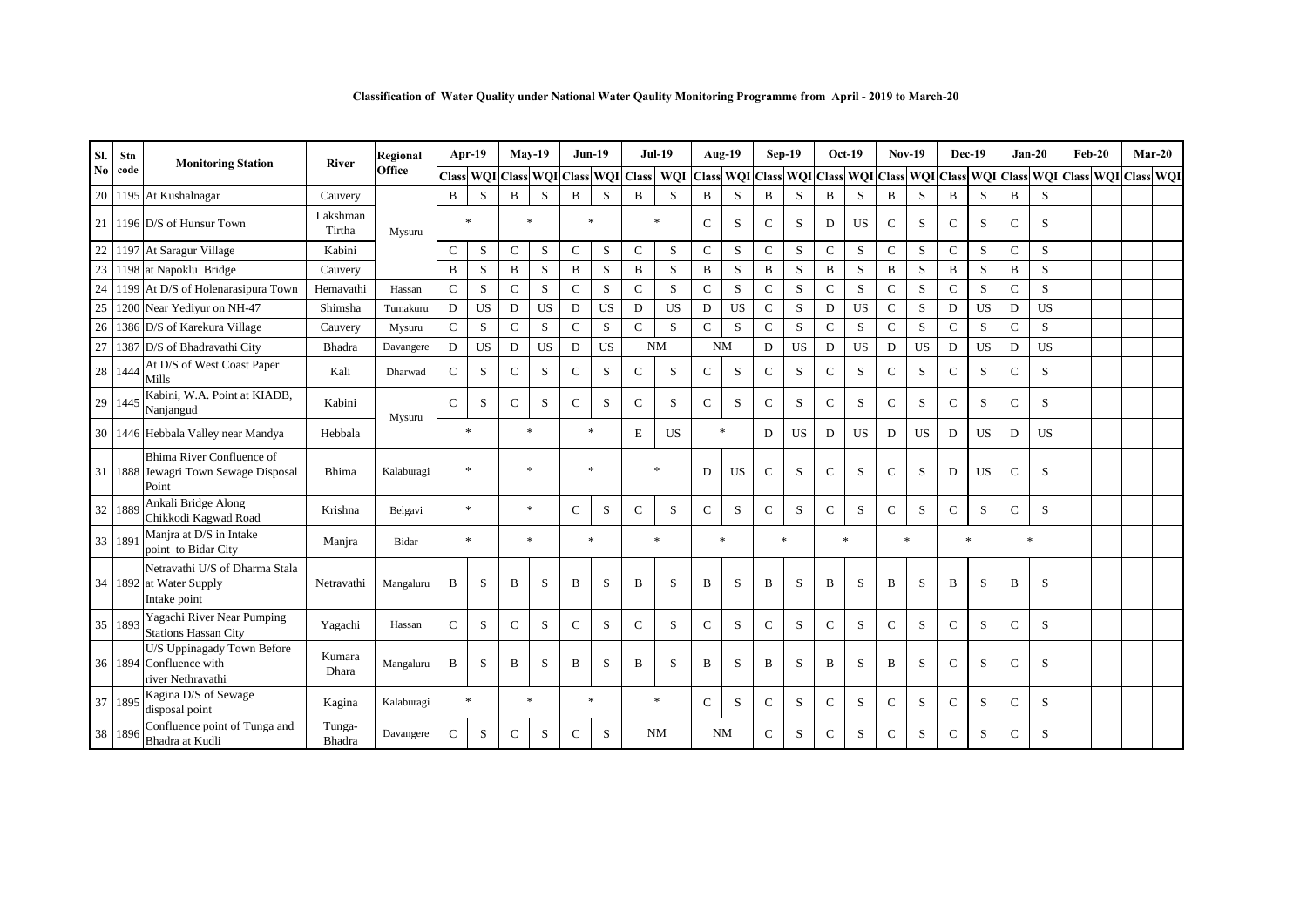|  |  |  | Classification of Water Quality under National Water Qaulity Monitoring Programme from April - 2019 to March-20 |  |  |
|--|--|--|-----------------------------------------------------------------------------------------------------------------|--|--|
|  |  |  |                                                                                                                 |  |  |

| Sl.                    | Stn      | <b>Monitoring Station</b>                                                  | <b>River</b>       | Regional   |               | $Apr-19$         |                 | <b>May-19</b> | $Jun-19$      |                  |               | <b>Jul-19</b> |               | Aug-19                                                  |               | Sep-19       | $Oct-19$            |           | <b>Nov-19</b> |           | <b>Dec-19</b> |           |               | $Jan-20$                | $Feb-20$ | $Mar-20$ |  |
|------------------------|----------|----------------------------------------------------------------------------|--------------------|------------|---------------|------------------|-----------------|---------------|---------------|------------------|---------------|---------------|---------------|---------------------------------------------------------|---------------|--------------|---------------------|-----------|---------------|-----------|---------------|-----------|---------------|-------------------------|----------|----------|--|
| $\mathbf{N}\mathbf{0}$ | code     |                                                                            |                    | Office     |               | <b>Class WQI</b> | Class WQI Class |               |               | <b>WQI</b> Class |               | WQI           |               | Class WQI Class WQI Class WQI Class WQI Class WQI Class |               |              |                     |           |               |           |               |           |               | WQI Class WQI Class WQI |          |          |  |
|                        |          | 20 1195 At Kushalnagar                                                     | Cauvery            |            | B             | S                | B               | S             | B             | S                | B             | S             | B             | S                                                       | B             | S            | B                   | S         | B             | S         | B             | S         | B             | S                       |          |          |  |
|                        |          | 21 1196 D/S of Hunsur Town                                                 | Lakshman<br>Tirtha | Mysuru     |               | *                | $\ast$          |               | $\ast$        |                  |               | $\ast$        | $\mathcal{C}$ | S                                                       | $\mathcal{C}$ | S            | D                   | <b>US</b> | $\mathcal{C}$ | S         | $\mathcal{C}$ | S         | $\mathbf C$   | S                       |          |          |  |
| 22                     |          | 1197 At Saragur Village                                                    | Kabini             |            | $\mathbf C$   | S                | $\mathbf C$     | S             | $\mathbf{C}$  | S                | $\mathbf C$   | S             | $\mathcal{C}$ | ${\bf S}$                                               | $\mathbf C$   | S            | ${\bf C}$           | S         | $\mathbf{C}$  | S         | $\mathbf{C}$  | S         | $\mathbf C$   | S                       |          |          |  |
| 23                     |          | 1198 at Napoklu Bridge                                                     | Cauvery            |            | B             | S                | B               | S             | $\, {\bf B}$  | S                | B             | S             | $\, {\bf B}$  | S                                                       | B             | S            | B                   | S         | $\mathbf B$   | S         | B             | S         | $\, {\bf B}$  | S                       |          |          |  |
| 24                     |          | 1199 At D/S of Holenarasipura Town                                         | Hemavathi          | Hassan     | $\mathbf C$   | S                | $\mathbf C$     | S             | $\mathbf C$   | S                | $\mathbf C$   | S             | $\mathbf C$   | S                                                       | $\mathbf C$   | S            | $\mathbf C$         | S         | $\mathbf C$   | S         | $\mathbf C$   | S         | $\mathbf C$   | S                       |          |          |  |
| 25                     |          | 1200 Near Yediyur on NH-47                                                 | Shimsha            | Tumakuru   | D             | <b>US</b>        | D               | <b>US</b>     | D             | <b>US</b>        | D             | <b>US</b>     | D             | <b>US</b>                                               | $\mathbf C$   | S            | D                   | <b>US</b> | $\mathbf{C}$  | S         | D             | <b>US</b> | D             | <b>US</b>               |          |          |  |
| 26                     |          | 1386 D/S of Karekura Village                                               | Cauvery            | Mysuru     | $\mathbf C$   | S                | $\mathbf C$     | S             | $\mathcal{C}$ | S                | $\mathbf C$   | S             | $\mathcal{C}$ | S                                                       | $\mathbf C$   | S            | $\mathcal{C}$       | S         | $\mathcal{C}$ | S         | $\mathsf{C}$  | S         | $\mathbf C$   | S                       |          |          |  |
| 27                     |          | 1387 D/S of Bhadravathi City                                               | Bhadra             | Davangere  | D             | <b>US</b>        | D               | <b>US</b>     | D             | <b>US</b>        |               | <b>NM</b>     | <b>NM</b>     |                                                         | D             | <b>US</b>    | D                   | <b>US</b> | D             | <b>US</b> | D             | <b>US</b> | D             | <b>US</b>               |          |          |  |
|                        | 28 1444  | At D/S of West Coast Paper<br>Mills                                        | Kali               | Dharwad    | $\mathcal{C}$ | S                | $\mathcal{C}$   | S             | $\mathcal{C}$ | S                | C             | S             | $\mathcal{C}$ | S                                                       | $\mathcal{C}$ | S            | $\mathcal{C}$       | S         | $\mathcal{C}$ | S         | $\mathcal{C}$ | S         | $\mathcal{C}$ | S                       |          |          |  |
|                        | 29 1445  | Kabini, W.A. Point at KIADB,<br>Nanjangud                                  | Kabini             | Mysuru     | $\mathcal{C}$ | S                | $\mathbf C$     | S             | $\mathcal{C}$ | S                | $\mathcal{C}$ | S             | $\mathcal{C}$ | S                                                       | $\mathbf C$   | S            | $\mathcal{C}$       | S         | $\mathbf{C}$  | S         | $\mathcal{C}$ | S         | $\mathbf C$   | S                       |          |          |  |
|                        |          | 30 1446 Hebbala Valley near Mandya                                         | Hebbala            |            |               | $\ast$           |                 | $\ast$        |               | $\ast$           | E             | <b>US</b>     |               | $\ast$                                                  | D             | <b>US</b>    | D                   | <b>US</b> | D             | <b>US</b> | D             | <b>US</b> | D             | <b>US</b>               |          |          |  |
|                        |          | Bhima River Confluence of<br>31 1888 Jewagri Town Sewage Disposal<br>Point | Bhima              | Kalaburagi |               | $\ast$           |                 | $\ast$        | $\ast$        |                  |               | $\ast$        | D             | <b>US</b>                                               | $\mathsf{C}$  | S            | $\mathcal{C}$       | S         | $\mathcal{C}$ | S         | D             | <b>US</b> | $\mathbf C$   | S                       |          |          |  |
|                        | 32 1889  | Ankali Bridge Along<br>Chikkodi Kagwad Road                                | Krishna            | Belgavi    |               | $\ast$           |                 | $\mathbf{x}$  | $\mathbf{C}$  | S                | C             | S             | $\mathcal{C}$ | S                                                       | $\mathcal{C}$ | S            | $\mathcal{C}$       | S         | $\mathcal{C}$ | S         | $\mathcal{C}$ | S         | $\mathcal{C}$ | S                       |          |          |  |
|                        | 33   189 | Manjra at D/S in Intake<br>point to Bidar City                             | Manjra             | Bidar      |               | $\ast$           |                 | $\mathbf{x}$  | $\ast$        |                  |               |               |               | $\ast$                                                  |               | $\mathbf{x}$ | $\boldsymbol{\ast}$ |           | $\mathbf{x}$  |           |               | $\ast$    |               | $\ast$                  |          |          |  |
|                        |          | Netravathi U/S of Dharma Stala<br>34 1892 at Water Supply<br>Intake point  | Netravathi         | Mangaluru  | B             | S                | B               | S             | B             | S                | B             | S             | B             | S                                                       | B             | S            | B                   | S         | B             | S         | B             | S         | B             | S                       |          |          |  |
|                        | 35 1893  | Yagachi River Near Pumping<br><b>Stations Hassan City</b>                  | Yagachi            | Hassan     | $\mathcal{C}$ | S                | $\mathbf C$     | S             | $\mathcal{C}$ | S                | $\mathcal{C}$ | S             | $\mathcal{C}$ | S                                                       | $\mathcal{C}$ | S            | $\mathcal{C}$       | S         | $\mathcal{C}$ | S         | $\mathcal{C}$ | S         | $\mathbf C$   | S                       |          |          |  |
|                        |          | U/S Uppinagady Town Before<br>36 1894 Confluence with<br>river Nethravathi | Kumara<br>Dhara    | Mangaluru  | B             | S                | B               | S             | B             | S                | B             | S             | B             | S                                                       | B             | S            | B                   | S         | B             | S         | $\mathbf C$   | S         | $\mathbf C$   | S                       |          |          |  |
|                        | 37 1895  | Kagina D/S of Sewage<br>disposal point                                     | Kagina             | Kalaburagi |               | $\ast$           |                 | $\ast$        | $\ast$        |                  |               | $\ast$        | $\mathcal{C}$ | S                                                       | $\mathcal{C}$ | S            | $\mathcal{C}$       | S         | $\mathcal{C}$ | S         | $\mathcal{C}$ | S         | $\mathbf C$   | S                       |          |          |  |
|                        | 38 1896  | Confluence point of Tunga and<br>Bhadra at Kudli                           | Tunga-<br>Bhadra   | Davangere  | $\mathcal{C}$ | S                | C               | S             | C             | S                |               | <b>NM</b>     | <b>NM</b>     |                                                         | $\mathcal{C}$ | S            | $\mathcal{C}$       | S         | $\mathcal{C}$ | S         | C             | S         | $\mathcal{C}$ | S                       |          |          |  |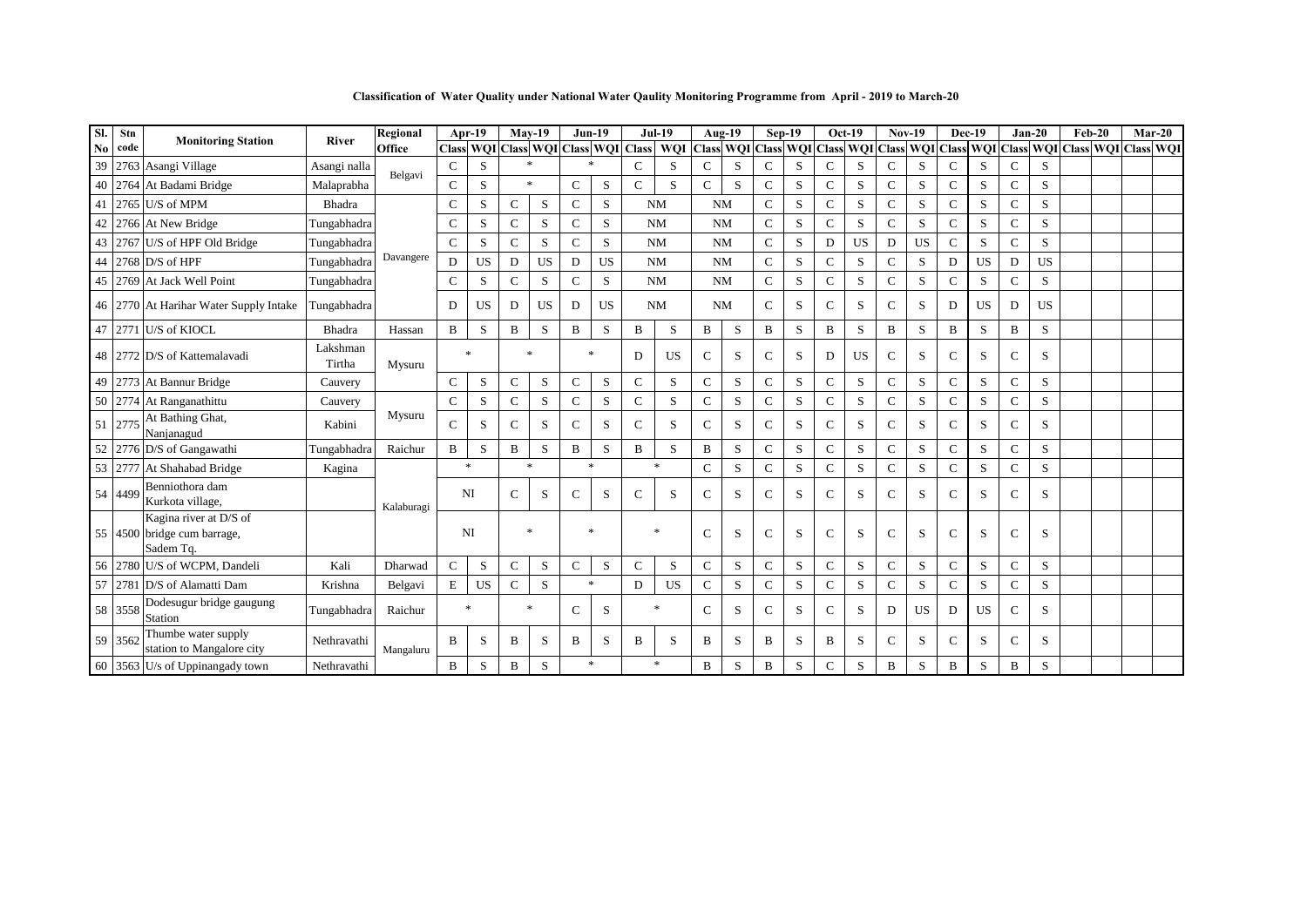**Classification of Water Quality under National Water Qaulity Monitoring Programme from April - 2019 to March-20**

| SI. | Stn     | <b>Monitoring Station</b>                                          | <b>River</b>       | Regional   |               | Apr-19      |              | $Mav-19$  | <b>Jun-19</b> |             |                                     | <b>Jul-19</b> |               | Aug-19 |               | $Sep-19$    | $Oct-19$      |           | $Nov-19$       |                                                   | <b>Dec-19</b> |           | $Jan-20$      |           | $Feb-20$                | $Mar-20$ |  |
|-----|---------|--------------------------------------------------------------------|--------------------|------------|---------------|-------------|--------------|-----------|---------------|-------------|-------------------------------------|---------------|---------------|--------|---------------|-------------|---------------|-----------|----------------|---------------------------------------------------|---------------|-----------|---------------|-----------|-------------------------|----------|--|
| No  | code    |                                                                    |                    | Office     |               |             |              |           |               |             | Class WQI Class WQI Class WQI Class | WQI           |               |        |               |             |               |           |                | Class WQI Class WQI Class WQI Class WQI Class WQI |               |           | <b>Class</b>  |           | WQI Class WQI Class WQI |          |  |
| 39  |         | 2763 Asangi Village                                                | Asangi nalla       | Belgavi    | $\mathsf{C}$  | S           | $\ast$       |           |               |             | $\mathcal{C}$                       | S             | $\mathbf C$   | S      | C             | S           | C             | S         | $\mathbf C$    | S                                                 | $\mathbf C$   | S         | $\mathcal{C}$ | S         |                         |          |  |
| 40  |         | 2764 At Badami Bridge                                              | Malaprabha         |            | $\mathbf C$   | S           |              | $\ast$    | $\mathbf C$   | $\mathbf S$ | $\mathcal{C}$                       | S             | $\mathcal{C}$ | S      | $\mathsf{C}$  | $\mathbf S$ | $\mathbf C$   | S         | $\mathcal{C}$  | S                                                 | $\mathbf C$   | S         | $\mathbf C$   | S         |                         |          |  |
| 41  |         | 2765 U/S of MPM                                                    | Bhadra             |            | $\mathbf C$   | S           | $\mathbf C$  | S         | $\mathbf C$   | S           |                                     | <b>NM</b>     | <b>NM</b>     |        | $\mathsf{C}$  | S           | $\mathbf C$   | S         | $\overline{C}$ | S                                                 | $\mathbf{C}$  | S         | $\mathbf C$   | S         |                         |          |  |
| 42  |         | 2766 At New Bridge                                                 | Tungabhadra        |            | C             | S           | $\mathbf C$  | S         | $\mathbf C$   | S           |                                     | <b>NM</b>     | <b>NM</b>     |        | $\mathbf C$   | S           | $\mathbf C$   | S         | $\mathbf C$    | S                                                 | $\mathbf C$   | S         | $\mathbf C$   | S         |                         |          |  |
| 43  |         | 2767 U/S of HPF Old Bridge                                         | Tungabhadra        |            | $\mathbf C$   | S           | $\mathsf{C}$ | S         | $\mathbf C$   | S           |                                     | <b>NM</b>     | <b>NM</b>     |        | $\mathsf{C}$  | S           | D             | <b>US</b> | D              | <b>US</b>                                         | C             | S         | $\mathbf C$   | S         |                         |          |  |
| 44  |         | $2768$ D/S of HPF                                                  | Tungabhadra        | Davangere  | D             | <b>US</b>   | D            | <b>US</b> | D             | US          |                                     | <b>NM</b>     | <b>NM</b>     |        | $\mathbf C$   | S           | $\mathbf C$   | S         | $\mathbf C$    | S                                                 | D             | <b>US</b> | D             | <b>US</b> |                         |          |  |
| 45  |         | 2769 At Jack Well Point                                            | Tungabhadra        |            | C             | S           | $\mathbf C$  | S         | $\mathbf C$   | S           |                                     | <b>NM</b>     | <b>NM</b>     |        | $\mathbf C$   | S           | $\mathbf C$   | S         | $\mathbf C$    | S                                                 | $\mathbf C$   | S         | $\mathbf C$   | S         |                         |          |  |
|     |         | 46 2770 At Harihar Water Supply Intake                             | Tungabhadra        |            | D             | US.         | D            | <b>US</b> | D             | <b>US</b>   |                                     | <b>NM</b>     | NM            |        | $\mathcal{C}$ | S           | $\mathcal{C}$ | S         | $\mathbf C$    | S                                                 | D             | <b>US</b> | D             | <b>US</b> |                         |          |  |
| 47  |         | 2771 U/S of KIOCL                                                  | Bhadra             | Hassan     | B             | S           | B            | S         | B             | S           | B                                   | S             | B             | S      | B             | S           | B             | S         | B              | S                                                 | B             | S         | B             | S         |                         |          |  |
|     |         | 48 2772 D/S of Kattemalavadi                                       | Lakshman<br>Tirtha | Mysuru     |               | $\ast$      |              | $\ast$    | $\ast$        |             | D                                   | <b>US</b>     | $\mathbf C$   | S      | $\mathcal{C}$ | S           | D             | <b>US</b> | $\mathbf C$    | S                                                 | $\mathsf{C}$  | S         | $\mathbf C$   | S         |                         |          |  |
|     |         | 49 2773 At Bannur Bridge                                           | Cauvery            |            | $\mathbf C$   | S           | $\mathsf{C}$ | S         | $\mathcal{C}$ | S           | $\mathcal{C}$                       | S             | $\mathbf C$   | S      | $\mathbf C$   | S           | $\mathbf C$   | S         | $\mathsf{C}$   | S                                                 | $\mathbf C$   | S         | $\mathbf C$   | S         |                         |          |  |
|     |         | 50 2774 At Ranganathittu                                           | Cauvery            |            | C             | S           | $\mathsf{C}$ | S         | $\mathsf{C}$  | S           | $\mathsf{C}$                        | S             | $\mathcal{C}$ | S      | $\mathsf{C}$  | S           | C             | S         | $\mathsf{C}$   | S                                                 | $\mathbf C$   | S         | $\mathcal{C}$ | S         |                         |          |  |
|     | 51 2775 | At Bathing Ghat,<br>Nanjanagud                                     | Kabini             | Mysuru     | $\mathcal{C}$ | S           | $\mathsf{C}$ | S         | $\mathcal{C}$ | S           | $\mathcal{C}$                       | S             | $\mathcal{C}$ | S      | $\mathcal{C}$ | S           | C             | S         | $\mathcal{C}$  | S                                                 | $\mathsf{C}$  | S         | $\mathcal{C}$ | S         |                         |          |  |
| 52  |         | 2776 D/S of Gangawathi                                             | Tungabhadra        | Raichur    | $\, {\bf B}$  | S           | B            | S         | $\mathbf B$   | S           | B                                   | S             | B             | S      | $\mathbf C$   | S           | $\mathbf C$   | S         | $\mathbf C$    | S                                                 | $\mathbf C$   | S         | $\mathbf C$   | S         |                         |          |  |
|     |         | 53 2777 At Shahabad Bridge                                         | Kagina             |            |               | $\ast$      | $\ast$       |           | $\ast$        |             |                                     | $\ast$        | $\mathcal{C}$ | S      | $\mathsf{C}$  | S           | $\mathbf C$   | S         | $\mathsf{C}$   | S                                                 | $\mathcal{C}$ | S         | $\mathcal{C}$ | S         |                         |          |  |
|     | 54 4499 | Benniothora dam<br>Kurkota village,                                |                    | Kalaburagi | <b>NI</b>     |             | $\mathsf{C}$ | S         | $\mathbf C$   | S           | $\mathbf C$                         | S             | $\mathbf C$   | S      | $\mathsf{C}$  | S           | $\mathbf C$   | S         | $\mathbf C$    | S                                                 | $\mathsf{C}$  | S         | $\mathcal{C}$ | S         |                         |          |  |
|     |         | Kagina river at D/S of<br>55 4500 bridge cum barrage,<br>Sadem Tq. |                    |            |               | NI          |              | $\ast$    | $\ast$        |             |                                     | $\ast$        | $\mathcal{C}$ | S      | $\mathbf C$   | S           | $\mathcal{C}$ | S         | $\mathcal{C}$  | S                                                 | $\mathcal{C}$ | S         | $\mathcal{C}$ | S         |                         |          |  |
| 56  |         | 2780 U/S of WCPM, Dandeli                                          | Kali               | Dharwad    | $\mathbf C$   | S           | $\mathsf{C}$ | S         | $\mathbf{C}$  | S           | $\mathbf C$                         | S             | $\mathbf C$   | S      | $\mathbf C$   | S           | $\mathbf C$   | S         | $\mathbf C$    | S                                                 | $\mathbf C$   | S         | $\mathbf C$   | S         |                         |          |  |
| 57  |         | 2781 D/S of Alamatti Dam                                           | Krishna            | Belgavi    | $\mathbf E$   | $_{\rm US}$ | $\mathbf C$  | S         |               | $\ast$      | D                                   | <b>US</b>     | $\mathbf C$   | S      | $\mathbf C$   | ${\bf S}$   | $\mathbf C$   | S         | $\mathbf C$    | S                                                 | $\mathbf{C}$  | S         | $\mathbf C$   | S         |                         |          |  |
|     | 58 3558 | Dodesugur bridge gaugung<br>Station                                | Tungabhadra        | Raichur    |               | *           |              | $\ast$    | $\mathcal{C}$ | S           |                                     | $\ast$        | $\mathbf C$   | S      | $\mathcal{C}$ | S           | $\mathcal{C}$ | S         | D              | <b>US</b>                                         | D             | <b>US</b> | $\mathcal{C}$ | S         |                         |          |  |
|     | 59 3562 | Thumbe water supply<br>station to Mangalore city                   | Nethravathi        | Mangaluru  | B             | S           | B            | S         | B             | S           | B                                   | S             | B             | S      | B             | S           | B             | S         | $\mathcal{C}$  | S                                                 | $\mathsf{C}$  | S         | $\mathcal{C}$ | S         |                         |          |  |
|     |         | 60 3563 U/s of Uppinangady town                                    | Nethravathi        |            | $\, {\bf B}$  | S           | $\, {\bf B}$ | S         |               | $\ast$      |                                     | $\ast$        | B             | S      | $\, {\bf B}$  | S           | $\mathbf C$   | S         | $\, {\bf B}$   | S                                                 | B             | S         | $\, {\bf B}$  | S         |                         |          |  |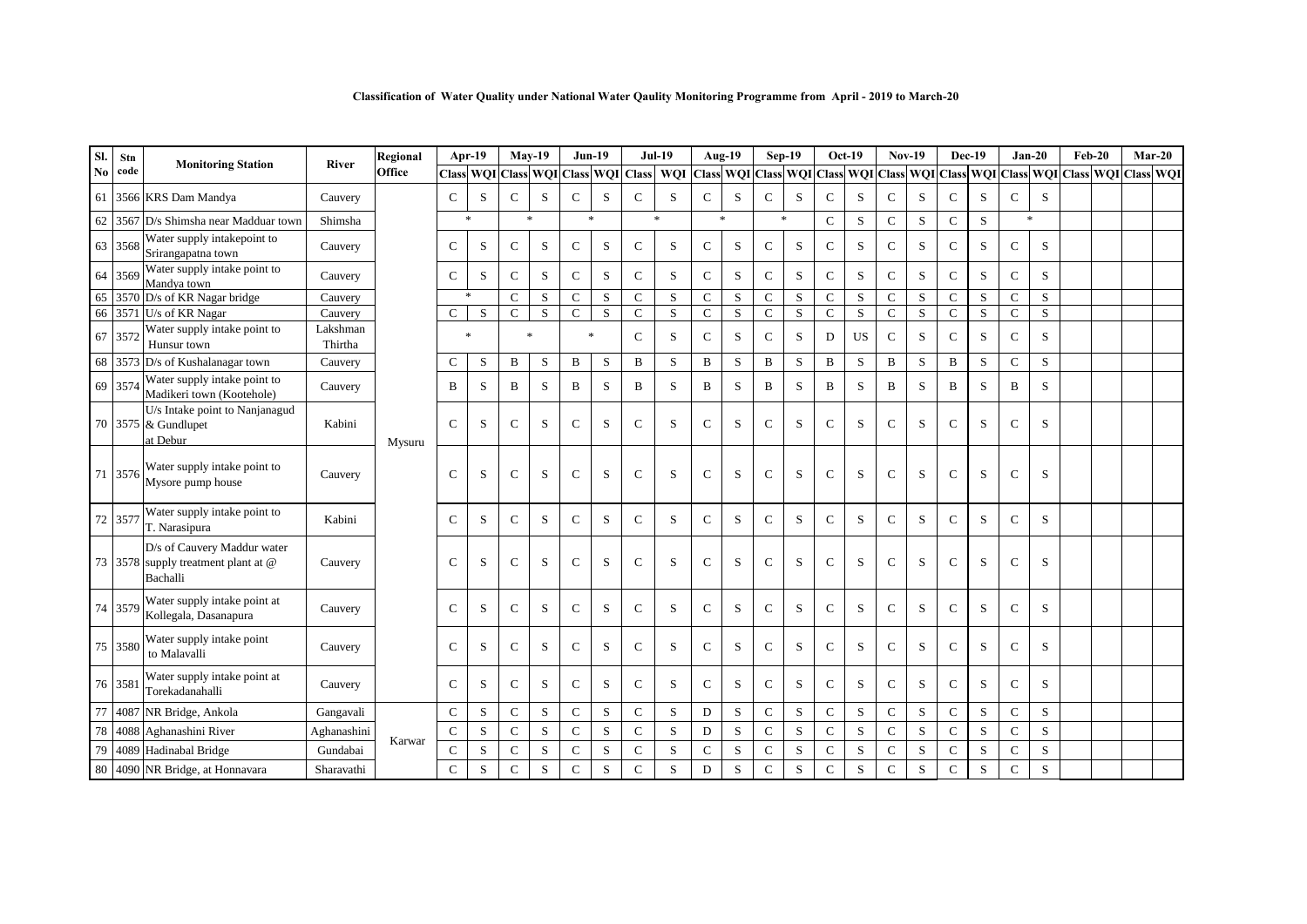| Sl.                    | Stn     |                                                                                |                     | Regional | Apr-19        |        |               | $Mav-19$  |               | $Jun-19$    |                                     | <b>Jul-19</b> |               | Aug-19                                                  | $Sep-19$      |           | $Oct-19$      |             | <b>Nov-19</b> |                           | Dec-19        |           | $Jan-20$      |   | $Feb-20$                |  | $Mar-20$ |
|------------------------|---------|--------------------------------------------------------------------------------|---------------------|----------|---------------|--------|---------------|-----------|---------------|-------------|-------------------------------------|---------------|---------------|---------------------------------------------------------|---------------|-----------|---------------|-------------|---------------|---------------------------|---------------|-----------|---------------|---|-------------------------|--|----------|
| $\mathbf{N}\mathbf{o}$ | code    | <b>Monitoring Station</b>                                                      | <b>River</b>        | Office   |               |        |               |           |               |             | Class WQI Class WQI Class WQI Class | <b>WOI</b>    |               | Class WQI Class WQI Class WQI Class WQI Class WQI Class |               |           |               |             |               |                           |               |           |               |   | WQI Class WQI Class WQI |  |          |
| 61                     |         | 3566 KRS Dam Mandya                                                            | Cauvery             |          | $\mathbf C$   | S      | $\mathsf{C}$  | S         | $\mathbf C$   | S           | C                                   | S             | $\mathbf C$   | S                                                       | $\mathbf C$   | S         | $\mathbf C$   | S           | $\mathbf C$   | S                         | $\mathsf{C}$  | S         | $\mathbf C$   | S |                         |  |          |
| 62                     |         | 3567 D/s Shimsha near Madduar town                                             | Shimsha             |          |               | $\ast$ | $\ast$        |           |               | $\ast$      |                                     | $\ast$        |               | $\ast$                                                  | $\ast$        |           | $\mathcal{C}$ | S           | $\mathcal{C}$ | S                         | $\mathsf{C}$  | S         | $\ast$        |   |                         |  |          |
| 63                     | 3568    | Water supply intakepoint to<br>Srirangapatna town                              | Cauvery             |          | C             | S      | C             | S         | $\mathcal{C}$ | S           | $\mathsf{C}$                        | S             | $\mathsf C$   | S                                                       | $\mathbf C$   | S         | $\mathbf C$   | S           | $\mathbf C$   | S                         | $\mathsf{C}$  | S         | $\mathbf C$   | S |                         |  |          |
| 64                     | 3569    | Water supply intake point to<br>Mandya town                                    | Cauvery             |          | $\mathcal{C}$ | S      | $\mathsf C$   | S         | $\mathbf C$   | $\mathbf S$ | $\mathbf C$                         | S             | ${\bf C}$     | ${\bf S}$                                               | ${\bf C}$     | S         | $\mathbf C$   | S           | $\mathbf C$   | S                         | ${\bf C}$     | ${\bf S}$ | $\mathbf C$   | S |                         |  |          |
| 65                     |         | $3570$ D/s of KR Nagar bridge                                                  | Cauvery             |          |               |        | $\mathsf{C}$  | S         | $\mathcal{C}$ | S           | $\mathcal{C}$                       | S             | $\mathbf C$   | S                                                       | $\mathcal{C}$ | S         | $\mathcal{C}$ | S           | $\mathcal{C}$ | S                         | $\mathcal{C}$ | S         | $\mathbf C$   | S |                         |  |          |
| 66                     |         | 3571 U/s of KR Nagar                                                           | Cauvery             |          | $\mathbf{C}$  | S      | $\mathsf{C}$  | ${\bf S}$ | $\mathbf C$   | ${\bf S}$   | $\mathbf C$                         | S             | $\mathbf C$   | ${\bf S}$                                               | $\mathsf{C}$  | ${\bf S}$ | $\mathbf C$   | $\mathbf S$ | $\mathsf C$   | $\ensuremath{\mathbf{S}}$ | $\mathsf{C}$  | S         | $\mathbf C$   | S |                         |  |          |
|                        | 67 357  | Water supply intake point to<br>Hunsur town                                    | Lakshman<br>Thirtha |          |               | $\ast$ | $\ast$        |           |               | $\ast$      | $\mathcal{C}$                       | S             | $\mathbf C$   | S                                                       | $\mathcal{C}$ | S         | D             | <b>US</b>   | $\mathcal{C}$ | S                         | $\mathbf C$   | S         | $\mathbf C$   | S |                         |  |          |
|                        | 68 3573 | D/s of Kushalanagar town                                                       | Cauvery             |          | C             | S      | B             | S         | B             | S           | $\mathbf B$                         | S             | $\, {\bf B}$  | S                                                       | $\, {\bf B}$  | S         | $\, {\bf B}$  | S           | $\, {\bf B}$  | S                         | $\, {\bf B}$  | S         | $\mathbf C$   | S |                         |  |          |
|                        | 69 3574 | Water supply intake point to<br>Madikeri town (Kootehole)                      | Cauvery             |          | B             | S      | B             | S         | B             | S           | B                                   | S             | B             | S                                                       | B             | S         | B             | S           | B             | S                         | B             | S         | B             | S |                         |  |          |
|                        |         | U/s Intake point to Nanjanagud<br>70 3575 & Gundlupet<br>at Debur              | Kabini              | Mysuru   | $\mathcal{C}$ | S      | $\mathsf{C}$  | S         | $\mathbf C$   | S           | $\mathbf C$                         | S             | $\mathbf C$   | S                                                       | $\mathcal{C}$ | S         | $\mathbf C$   | S           | $\mathcal{C}$ | S                         | $\mathbf C$   | S         | $\mathbf C$   | S |                         |  |          |
|                        | 71 3576 | Water supply intake point to<br>Mysore pump house                              | Cauvery             |          | C             | S      | $\mathsf{C}$  | S         | $\mathcal{C}$ | S           | $\mathcal{C}$                       | S             | $\mathcal{C}$ | S                                                       | $\mathcal{C}$ | S         | C             | S           | $\mathcal{C}$ | S                         | $\mathcal{C}$ | S         | $\mathcal{C}$ | S |                         |  |          |
|                        | 72 3577 | Water supply intake point to<br>T. Narasipura                                  | Kabini              |          | C             | S      | $\mathbf C$   | S         | $\mathcal{C}$ | S           | $\mathcal{C}$                       | S             | $\mathbf C$   | S                                                       | $\mathcal{C}$ | S         | $\mathbf C$   | S           | $\mathcal{C}$ | S                         | $\mathsf{C}$  | S         | $\mathbf C$   | S |                         |  |          |
|                        |         | D/s of Cauvery Maddur water<br>73 3578 supply treatment plant at @<br>Bachalli | Cauvery             |          | $\mathbf C$   | S      | $\mathbf C$   | S         | $\mathcal{C}$ | S           | $\mathcal{C}$                       | S             | $\mathbf C$   | S                                                       | $\mathbf C$   | S         | $\mathbf C$   | S           | $\mathcal{C}$ | S                         | $\mathbf C$   | S         | $\mathbf C$   | S |                         |  |          |
|                        | 74 3579 | Water supply intake point at<br>Kollegala, Dasanapura                          | Cauvery             |          | $\mathcal{C}$ | S      | $\mathcal{C}$ | S         | $\mathcal{C}$ | S           | $\mathcal{C}$                       | S             | $\mathcal{C}$ | S                                                       | $\mathcal{C}$ | S         | $\mathcal{C}$ | S           | $\mathcal{C}$ | S                         | $\mathcal{C}$ | S         | $\mathcal{C}$ | S |                         |  |          |
|                        | 75 3580 | Water supply intake point<br>to Malavalli                                      | Cauvery             |          | C             | S      | $\mathsf{C}$  | S         | $\mathcal{C}$ | S           | $\mathbf C$                         | S             | $\mathbf C$   | S                                                       | $\mathcal{C}$ | S         | $\mathcal{C}$ | S           | $\mathcal{C}$ | S                         | $\mathsf{C}$  | S         | $\mathbf C$   | S |                         |  |          |
|                        | 76 358  | Water supply intake point at<br>Torekadanahalli                                | Cauvery             |          | C             | S      | $\mathsf{C}$  | S         | $\mathcal{C}$ | S           | $\mathsf{C}$                        | S             | $\mathbf C$   | S                                                       | $\mathsf{C}$  | S         | C             | S           | $\mathsf{C}$  | S                         | $\mathcal{C}$ | S         | $\mathbf C$   | S |                         |  |          |
| 77                     | 4087    | NR Bridge, Ankola                                                              | Gangavali           |          | $\mathcal{C}$ | S      | $\mathsf{C}$  | S         | $\mathcal{C}$ | S           | $\mathsf{C}$                        | S             | D             | S                                                       | $\mathcal{C}$ | S         | $\mathbf C$   | S           | $\mathcal{C}$ | S                         | $\mathsf{C}$  | S         | $\mathbf C$   | S |                         |  |          |
| 78                     | 4088    | Aghanashini River                                                              | Aghanashini         |          | $\mathbf C$   | S      | $\mathbf C$   | ${\bf S}$ | $\mathcal{C}$ | S           | $\mathcal{C}$                       | S             | D             | S                                                       | $\mathsf{C}$  | S         | $\mathbf C$   | S           | $\mathcal{C}$ | ${\bf S}$                 | $\mathsf{C}$  | S         | $\mathbf C$   | S |                         |  |          |
| 79                     |         | 4089 Hadinabal Bridge                                                          | Gundabai            | Karwar   | $\mathbf C$   | S      | $\mathsf{C}$  | ${\bf S}$ | $\mathbf C$   | S           | $\mathsf{C}$                        | S             | $\mathbf C$   | S                                                       | $\mathcal{C}$ | S         | $\mathbf C$   | S           | $\mathcal{C}$ | S                         | $\mathbf C$   | S         | $\mathbf C$   | S |                         |  |          |
|                        |         | 80 4090 NR Bridge, at Honnavara                                                | Sharavathi          |          | $\mathbf C$   | S      | $\mathbf C$   | S         | $\mathcal{C}$ | S           | $\mathcal{C}$                       | S             | D             | S                                                       | $\mathbf C$   | S         | $\mathcal{C}$ | S           | $\mathcal{C}$ | S                         | $\mathbf C$   | S         | $\mathbf C$   | S |                         |  |          |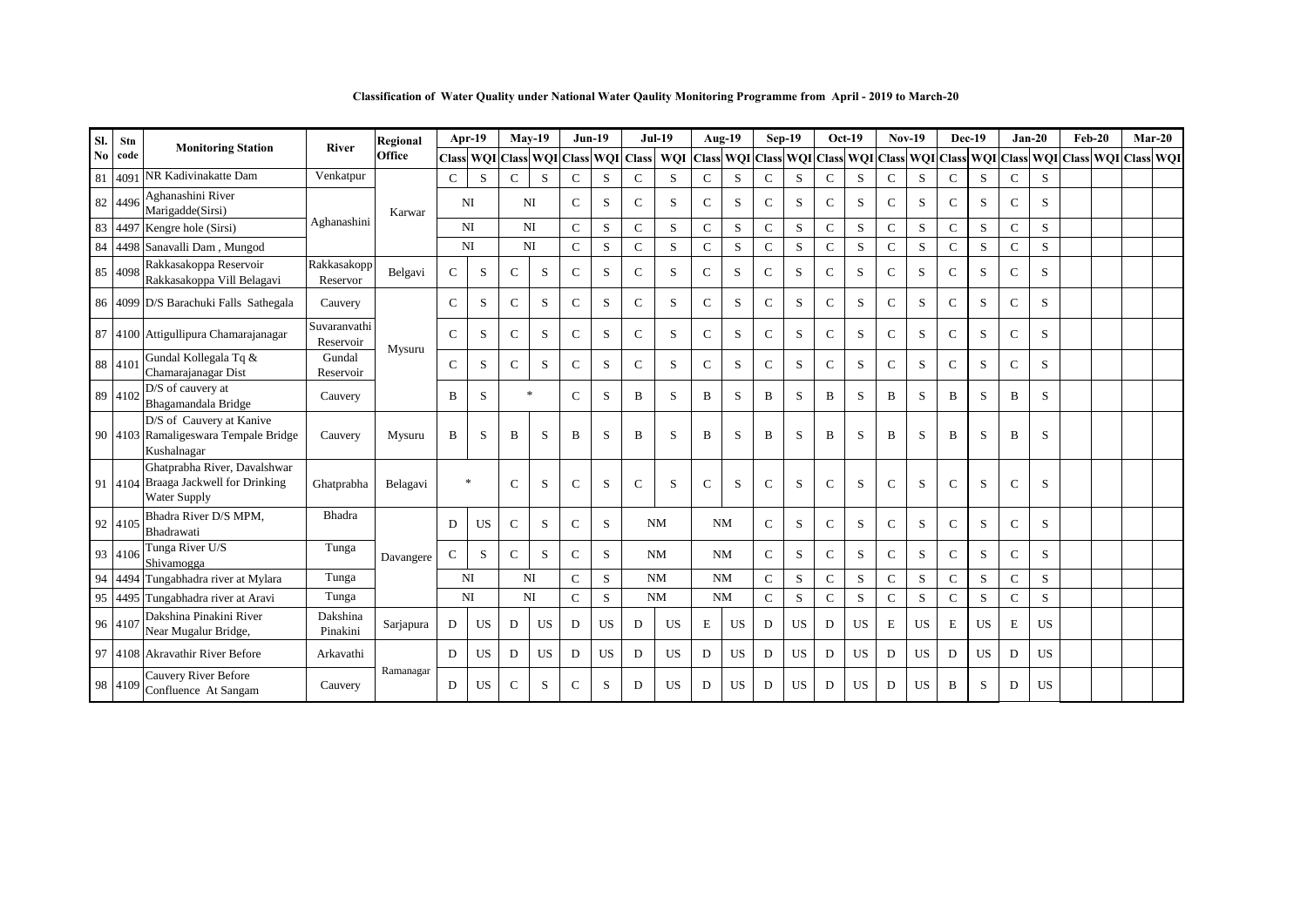**Classification of Water Quality under National Water Qaulity Monitoring Programme from April - 2019 to March-20**

| SI. | Stn     |                                                                                             |                           | Regional  |               | Apr-19           |               | $May-19$  |                 | $Jun-19$   |               | <b>Jul-19</b> |               | Aug-19                     |               | Sep-19    |               | $Oct-19$  | <b>Nov-19</b>                       |           |               | <b>Dec-19</b> |               | $Jan-20$  | $Feb-20$                   |  | $Mar-20$ |
|-----|---------|---------------------------------------------------------------------------------------------|---------------------------|-----------|---------------|------------------|---------------|-----------|-----------------|------------|---------------|---------------|---------------|----------------------------|---------------|-----------|---------------|-----------|-------------------------------------|-----------|---------------|---------------|---------------|-----------|----------------------------|--|----------|
| No. | code    | <b>Monitoring Station</b>                                                                   | <b>River</b>              | Office    |               | <b>Class WOI</b> |               |           | Class WQI Class | <b>WOI</b> | <b>Class</b>  | <b>WQI</b>    |               | <b>Class WOI Class WOI</b> |               |           |               |           | Class WOI Class WOI Class WOI Class |           |               |               |               | WQI       | <b>Class WOI Class WOI</b> |  |          |
| 81  | 409     | NR Kadivinakatte Dam                                                                        | Venkatpur                 |           | $\mathsf{C}$  | S                | $\mathcal{C}$ | S         | $\mathbf{C}$    | S          | $\mathcal{C}$ | S             | $\mathcal{C}$ | S                          | $\mathcal{C}$ | S         | $\mathcal{C}$ | S         | $\mathcal{C}$                       | S         | $\mathbf C$   | S             | $\mathcal{C}$ | S         |                            |  |          |
|     | 82 449  | Aghanashini River<br>Marigadde(Sirsi)                                                       |                           | Karwar    |               | NI               |               | NI        | $\mathcal{C}$   | S          | C             | S             | $\mathbf C$   | S                          | $\mathsf{C}$  | S         | C             | S         | $\mathcal{C}$                       | S         | $\mathcal{C}$ | S             | $\mathbf C$   | S         |                            |  |          |
| 83  | 449     | Kengre hole (Sirsi)                                                                         | Aghanashini               |           |               | NI               |               | NI        | $\mathbf{C}$    | S          | $\mathbf C$   | S             | $\mathbf C$   | S                          | $\mathbf C$   | S         | $\mathbf C$   | S         | $\mathbf{C}$                        | S         | $\mathcal{C}$ | S             | $\mathbf C$   | S         |                            |  |          |
|     |         | 84 4498 Sanavalli Dam, Mungod                                                               |                           |           |               | NI               |               | NI        | $\mathcal{C}$   | S          | $\mathcal{C}$ | S             | $\mathcal{C}$ | S                          | $\mathbf C$   | S         | $\mathbf C$   | S         | $\mathcal{C}$                       | S         | $\mathcal{C}$ | S             | $\mathcal{C}$ | S         |                            |  |          |
|     | 85 4098 | Rakkasakoppa Reservoir<br>Rakkasakoppa Vill Belagavi                                        | Rakkasakopp<br>Reservor   | Belgavi   | $\mathbf{C}$  | S                | $\mathsf{C}$  | S         | $\mathcal{C}$   | S          | $\mathcal{C}$ | S             | $\mathbf C$   | S                          | $\mathbf C$   | S         | $\mathcal{C}$ | S         | $\mathcal{C}$                       | S         | $\mathcal{C}$ | S             | $\mathbf C$   | S         |                            |  |          |
|     |         | 86 4099 D/S Barachuki Falls Sathegala                                                       | Cauvery                   |           | $\mathcal{C}$ | S                | $\mathsf{C}$  | S         | $\mathcal{C}$   | S          | $\mathcal{C}$ | S             | $\mathbf C$   | S                          | $\mathcal{C}$ | S         | $\mathcal{C}$ | S         | $\mathcal{C}$                       | S         | $\mathcal{C}$ | S             | $\mathbf C$   | S         |                            |  |          |
|     |         | 87 4100 Attigullipura Chamarajanagar                                                        | Suvaranvathi<br>Reservoir | Mysuru    | $\mathcal{C}$ | S                | C             | S         | $\mathcal{C}$   | S          | $\mathcal{C}$ | S             | $\mathbf C$   | S                          | $\mathcal{C}$ | S         | $\mathcal{C}$ | S         | $\mathcal{C}$                       | S         | $\mathcal{C}$ | S             | $\mathbf C$   | S         |                            |  |          |
|     | 88 4101 | Gundal Kollegala Tq &<br>Chamarajanagar Dist                                                | Gundal<br>Reservoir       |           | $\mathbf{C}$  | S                | $\mathsf{C}$  | S         | $\mathbf{C}$    | S          | C             | S             | $\mathbf C$   | S                          | $\mathcal{C}$ | S         | C             | S         | $\mathcal{C}$                       | S         | $\mathcal{C}$ | S             | $\mathbf C$   | S         |                            |  |          |
|     | 89 4102 | D/S of cauvery at<br>Bhagamandala Bridge                                                    | Cauvery                   |           | B             | S                |               | $\ast$    | $\mathcal{C}$   | S          | B             | S.            | B             | S                          | B             | S         | B             | S         | B                                   | S         | B             | S             | B             | S         |                            |  |          |
|     |         | D/S of Cauvery at Kanive<br>90 4103 Ramaligeswara Tempale Bridge<br>Kushalnagar             | Cauvery                   | Mysuru    | B             | S                | B             | S         | B               | S          | B             | S             | B             | S                          | B             | S         | B             | S         | B                                   | S         | B             | S             | B             | S         |                            |  |          |
|     |         | Ghatprabha River, Davalshwar<br>91 4104 Braaga Jackwell for Drinking<br><b>Water Supply</b> | Ghatprabha                | Belagavi  |               | *                | $\mathsf{C}$  | S         | $\mathcal{C}$   | S          | $\mathcal{C}$ | S             | $\mathcal{C}$ | S                          | $\mathcal{C}$ | S         | $\mathcal{C}$ | S         | $\mathcal{C}$                       | S         | $\mathcal{C}$ | S             | $\mathcal{C}$ | S         |                            |  |          |
|     | 92 4105 | Bhadra River D/S MPM.<br>Bhadrawati                                                         | Bhadra                    |           | D             | <b>US</b>        | $\mathbf C$   | S         | $\mathbf C$     | S          |               | <b>NM</b>     |               | <b>NM</b>                  | $\mathbf C$   | S         | $\mathbf C$   | S         | $\mathcal{C}$                       | S         | $\mathbf C$   | S             | $\mathbf C$   | S         |                            |  |          |
|     | 93 410  | Tunga River U/S<br>Shivamogga                                                               | Tunga                     | Davangere | $\mathbf C$   | S                | $\mathbf C$   | S         | $\mathbf C$     | S          |               | <b>NM</b>     |               | <b>NM</b>                  | $\mathbf C$   | S         | $\mathbf C$   | S         | $\mathbf{C}$                        | S         | $\mathbf C$   | S             | $\mathbf C$   | S         |                            |  |          |
| 94  |         | 4494 Tungabhadra river at Mylara                                                            | Tunga                     |           |               | <b>NI</b>        |               | <b>NI</b> | $\mathcal{C}$   | S          |               | <b>NM</b>     | <b>NM</b>     |                            | $\mathbf C$   | S         | $\mathcal{C}$ | S         | $\mathcal{C}$                       | S         | $\mathcal{C}$ | S             | $\mathcal{C}$ | S         |                            |  |          |
| 95  |         | 4495 Tungabhadra river at Aravi                                                             | Tunga                     |           |               | NI               |               | NI        | $\mathcal{C}$   | S          |               | <b>NM</b>     | <b>NM</b>     |                            | $\mathcal{C}$ | S         | $\mathcal{C}$ | S         | C                                   | S         | $\mathcal{C}$ | S             | $\mathcal{C}$ | S         |                            |  |          |
|     | 96 410  | Dakshina Pinakini River<br>Near Mugalur Bridge,                                             | Dakshina<br>Pinakini      | Sarjapura | D             | <b>US</b>        | D             | <b>US</b> | D               | <b>US</b>  | D             | <b>US</b>     | $\mathbf E$   | <b>US</b>                  | D             | <b>US</b> | D             | <b>US</b> | $\mathbf E$                         | <b>US</b> | Е             | <b>US</b>     | E             | <b>US</b> |                            |  |          |
|     |         | 97 4108 Akravathir River Before                                                             | Arkavathi                 |           | D             | <b>US</b>        | D             | <b>US</b> | D               | <b>US</b>  | D             | <b>US</b>     | D             | <b>US</b>                  | D             | <b>US</b> | D             | <b>US</b> | D                                   | <b>US</b> | D             | <b>US</b>     | D             | <b>US</b> |                            |  |          |
|     | 98 4109 | Cauvery River Before<br>Confluence At Sangam                                                | Cauvery                   | Ramanagar | D             | US.              | $\mathcal{C}$ | S         | $\mathcal{C}$   | S          | D             | <b>US</b>     | D             | <b>US</b>                  | D             | <b>US</b> | D             | <b>US</b> | D                                   | <b>US</b> | B             | S             | D             | <b>US</b> |                            |  |          |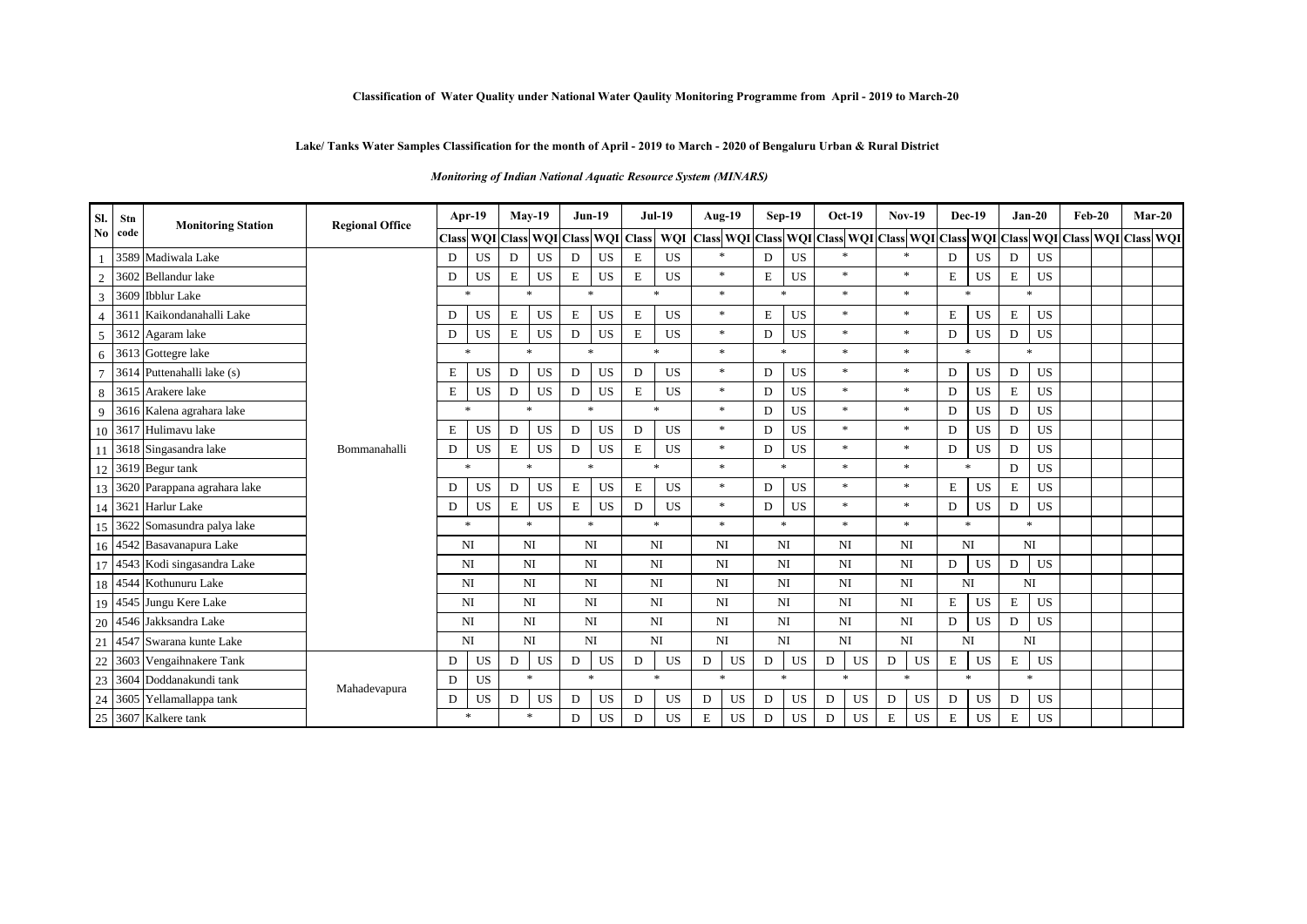#### **Classification of Water Quality under National Water Qaulity Monitoring Programme from April - 2019 to March-20**

### **Lake/ Tanks Water Samples Classification for the month of April - 2019 to March - 2020 of Bengaluru Urban & Rural District**

#### *Monitoring of Indian National Aquatic Resource System (MINARS)*

| Sl.            | Stn  | <b>Monitoring Station</b>       | <b>Regional Office</b> |    | $Apr-19$               |   | $Mav-19$            | $Jun-19$     |           |                     | <b>Jul-19</b> | <b>Aug-19</b>                                                                                 |             | Sep-19       | $Oct-19$       | $Nov-19$       |        | <b>Dec-19</b> |             | $Jan-20$  | $Feb-20$ |  | $Mar-20$ |
|----------------|------|---------------------------------|------------------------|----|------------------------|---|---------------------|--------------|-----------|---------------------|---------------|-----------------------------------------------------------------------------------------------|-------------|--------------|----------------|----------------|--------|---------------|-------------|-----------|----------|--|----------|
| N <sub>0</sub> | code |                                 |                        |    | <b>Class WQI Class</b> |   |                     |              |           | WQI Class WQI Class |               | WQI Class WQI Class WQI Class WQI Class WQI Class WQI Class WQI Class WQI Class WQI Class WQI |             |              |                |                |        |               |             |           |          |  |          |
|                |      | 3589 Madiwala Lake              |                        | D  | <b>US</b>              | D | <b>US</b>           | D            | <b>US</b> | E                   | <b>US</b>     | $\mathbf{x}$                                                                                  | D           | <b>US</b>    |                | ×.             | D      | <b>US</b>     | D           | <b>US</b> |          |  |          |
| $\overline{2}$ |      | 3602 Bellandur lake             |                        | D  | <b>US</b>              | Е | <b>US</b>           | E            | <b>US</b> | E                   | <b>US</b>     | $\ast$                                                                                        | $\mathbf E$ | <b>US</b>    | $\ast$         | $\ast$         | E      | <b>US</b>     | E           | <b>US</b> |          |  |          |
| 3              |      | 3609 Ibblur Lake                |                        |    | $\ast$                 |   | $\ast$              | $\ast$       |           |                     | $\ast$        | $\ast$                                                                                        |             | $\ast$       | $\ast$         | $\ast$         | $\ast$ |               |             | $\ast$    |          |  |          |
| $\overline{4}$ | 361  | Kaikondanahalli Lake            |                        | D  | <b>US</b>              | E | US                  | E            | <b>US</b> | E                   | <b>US</b>     | $\ast$                                                                                        | E           | <b>US</b>    | $\ast$         | *              | E      | <b>US</b>     | E           | US        |          |  |          |
| 5              |      | 3612 Agaram lake                |                        | D  | <b>US</b>              | E | <b>US</b>           | D            | <b>US</b> | E                   | <b>US</b>     | $\ast$                                                                                        | D           | <b>US</b>    | $\ast$         | $\ast$         | D      | <b>US</b>     | D           | <b>US</b> |          |  |          |
| 6              |      | 3613 Gottegre lake              |                        |    | $\ast$                 |   | $\boldsymbol{\ast}$ | $\ast$       |           |                     | 大             | $\ast$                                                                                        |             | $\ast$       | $\ast$         | $\ast$         | $\ast$ |               |             | $\ast$    |          |  |          |
| $\overline{7}$ |      | 3614 Puttenahalli lake (s)      |                        | Ε  | <b>US</b>              | D | <b>US</b>           | D            | <b>US</b> | D                   | <b>US</b>     | $\ast$                                                                                        | D           | <b>US</b>    | $\ast$         | $\ast$         | D      | US            | D           | <b>US</b> |          |  |          |
| 8              |      | 3615 Arakere lake               |                        | Ε  | <b>US</b>              | D | <b>US</b>           | D            | <b>US</b> | E                   | <b>US</b>     | $\ast$                                                                                        | D           | <b>US</b>    | $\ast$         | *              | D      | <b>US</b>     | $\mathbf E$ | <b>US</b> |          |  |          |
| 9              |      | 3616 Kalena agrahara lake       |                        |    | $\mathbf{x}$           |   | $\boldsymbol{\ast}$ | $\ast$       |           |                     | $\ast$        | $\ast$                                                                                        | D           | <b>US</b>    | $\ast$         | $\ast$         | D      | <b>US</b>     | D           | <b>US</b> |          |  |          |
|                |      | 10 3617 Hulimavu lake           |                        | Е  | <b>US</b>              | D | US                  | D            | <b>US</b> | D                   | <b>US</b>     | $\ast$                                                                                        | D           | <b>US</b>    | $\ast$         | $\ast$         | D      | <b>US</b>     | D           | <b>US</b> |          |  |          |
|                |      | 11 3618 Singasandra lake        | Bommanahalli           | D  | <b>US</b>              | E | <b>US</b>           | D            | <b>US</b> | E                   | <b>US</b>     | $\ast$                                                                                        | D           | <b>US</b>    | $*$            | $\ast$         | D      | <b>US</b>     | D           | <b>US</b> |          |  |          |
|                |      | 12 3619 Begur tank              |                        |    | $\mathbf{x}$           |   | $\boldsymbol{\ast}$ | $\mathbf{x}$ |           |                     | $\mathbf{x}$  | $\ast$                                                                                        |             | $\mathbf{x}$ | $\ast$         | $\ast$         | $\ast$ |               | D           | <b>US</b> |          |  |          |
|                |      | 13 3620 Parappana agrahara lake |                        | D  | <b>US</b>              | D | <b>US</b>           | $\mathbf E$  | <b>US</b> | E                   | <b>US</b>     | $\ast$                                                                                        | D           | <b>US</b>    | $\ast$         | $\ast$         | E      | <b>US</b>     | $\mathbf E$ | <b>US</b> |          |  |          |
|                |      | 14 3621 Harlur Lake             |                        | D. | <b>US</b>              | E | <b>US</b>           | E            | <b>US</b> | D                   | <b>US</b>     | $\ast$                                                                                        | D           | <b>US</b>    | $\ast$         | $\ast$         | D      | <b>US</b>     | D           | <b>US</b> |          |  |          |
| 15             | 3622 | Somasundra palya lake           |                        |    | $\ast$                 |   | $\ast$              | $\ast$       |           |                     | $\mathbf{x}$  | $\ast$                                                                                        |             | $\ast$       | $\mathbf{x}$   | $*$            | $\ast$ |               |             | $\ast$    |          |  |          |
|                |      | 16 4542 Basavanapura Lake       |                        |    | NI                     |   | NI                  | NI           |           |                     | NI            | <b>NI</b>                                                                                     |             | NI           | NI             | NI             |        | NI            |             | NI        |          |  |          |
| 17             |      | 4543 Kodi singasandra Lake      |                        |    | NI                     |   | <b>NI</b>           | NI           |           |                     | NI            | NI                                                                                            |             | NI           | NI             | N <sub>I</sub> | D      | <b>US</b>     | D           | <b>US</b> |          |  |          |
|                |      | 18 4544 Kothunuru Lake          |                        |    | NI                     |   | <b>NI</b>           | <b>NI</b>    |           |                     | NI            | NI                                                                                            |             | NI           | NI             | NI             |        | NI            |             | NI        |          |  |          |
|                |      | 19 4545 Jungu Kere Lake         |                        |    | NI                     |   | NI                  | <b>NI</b>    |           |                     | <b>NI</b>     | NI                                                                                            |             | NI           | NI             | NI             | E      | US            | $\mathbf E$ | <b>US</b> |          |  |          |
|                |      | 20 4546 Jakksandra Lake         |                        |    | NI                     |   | NI                  | <b>NI</b>    |           |                     | NI            | <b>NI</b>                                                                                     |             | NI           | NI             | N <sub>I</sub> | D      | <b>US</b>     | $\mathbf D$ | <b>US</b> |          |  |          |
| 21             |      | 4547 Swarana kunte Lake         |                        |    | NI                     |   | NI                  | NI           |           |                     | NI            | NI                                                                                            |             | NI           | NI             | N <sub>I</sub> | NI     |               |             | <b>NI</b> |          |  |          |
| $22\,$         |      | 3603 Vengaihnakere Tank         |                        | D  | <b>US</b>              | D | US                  | D            | US        | D                   | US            | US<br>D                                                                                       | D           | <b>US</b>    | D<br><b>US</b> | D<br>US        | E      | US            | E           | <b>US</b> |          |  |          |
| 23             |      | 3604 Doddanakundi tank          | Mahadevapura           | D  | <b>US</b>              |   | $\ast$              | $\ast$       |           |                     | $\mathbf{x}$  | $\ast$                                                                                        |             | $\mathbf{x}$ | $\ast$         | $\ast$         | $\ast$ |               |             | $\ast$    |          |  |          |
| 24             |      | 3605 Yellamallappa tank         |                        | D  | <b>US</b>              | D | <b>US</b>           | D            | <b>US</b> | D                   | <b>US</b>     | <b>US</b><br>D                                                                                | D           | <b>US</b>    | <b>US</b><br>D | <b>US</b><br>D | D      | <b>US</b>     | D           | <b>US</b> |          |  |          |
|                |      | 25 3607 Kalkere tank            |                        |    | $\ast$                 |   | $\ast$              | D            | <b>US</b> | D                   | <b>US</b>     | E<br><b>US</b>                                                                                | D           | <b>US</b>    | <b>US</b><br>D | E<br><b>US</b> | E      | <b>US</b>     | E           | <b>US</b> |          |  |          |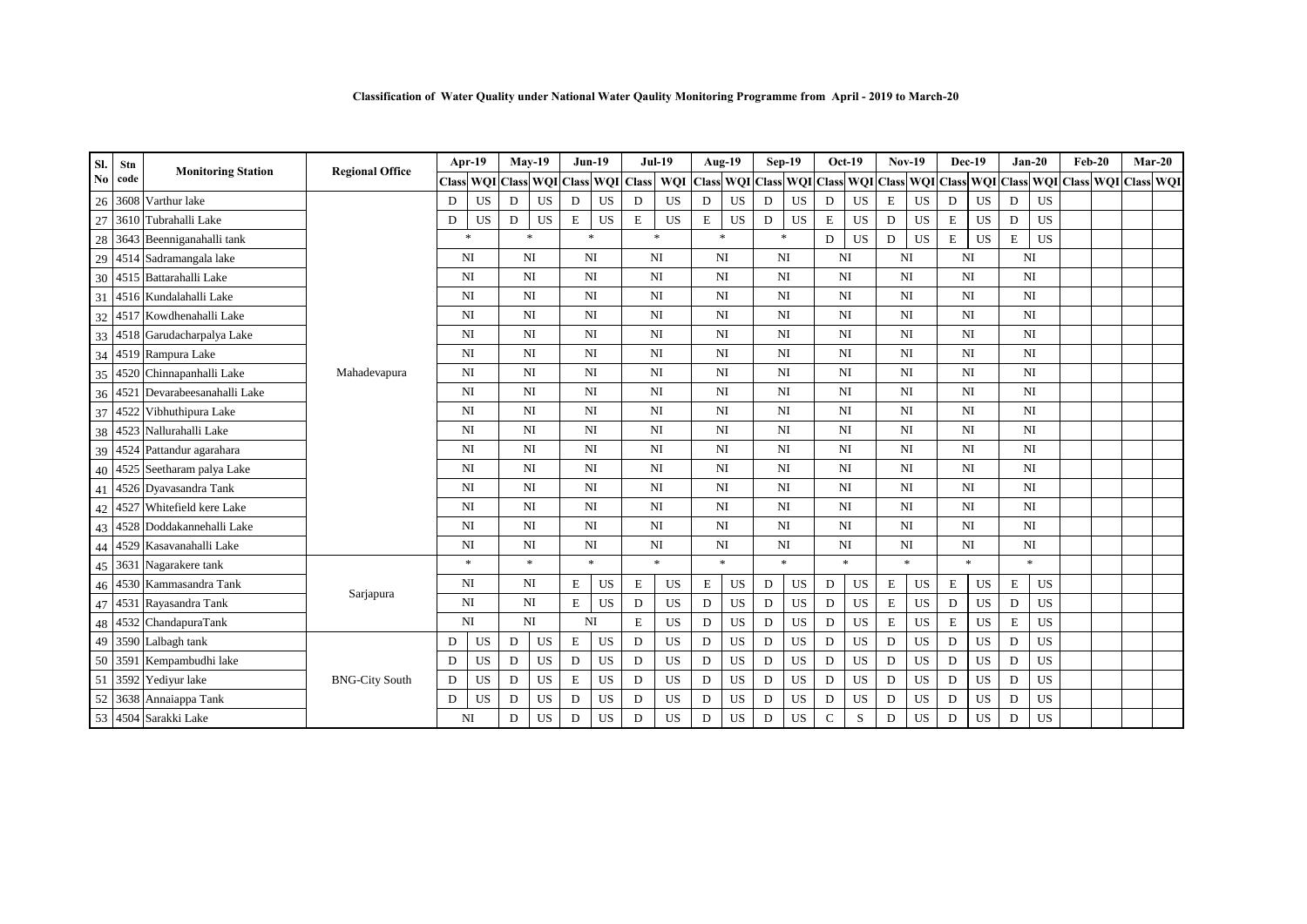| Sl.    | Stn  | <b>Monitoring Station</b>    | <b>Regional Office</b> |   | Apr-19           |             | $Mav-19$               |             | $Jun-19$               |              | $Jul-19$               |             | Aug-19                 |           | Sep-19                    |                     | $Oct-19$  | <b>Nov-19</b>  |                               | Dec-19      |                |             | $Jan-20$               | $Feb-20$ |                         | $Mar-20$ |
|--------|------|------------------------------|------------------------|---|------------------|-------------|------------------------|-------------|------------------------|--------------|------------------------|-------------|------------------------|-----------|---------------------------|---------------------|-----------|----------------|-------------------------------|-------------|----------------|-------------|------------------------|----------|-------------------------|----------|
| No     | code |                              |                        |   | <b>Class WOI</b> |             | <b>Class WQI</b> Class |             | <b>WOI</b>             | <b>Class</b> | <b>WOI</b>             |             |                        |           | Class WQI Class WQI Class |                     |           |                | WQI Class WQI Class WQI Class |             |                |             |                        |          | WQI Class WQI Class WQI |          |
| 26     | 3608 | Varthur lake                 |                        | D | <b>US</b>        | D           | <b>US</b>              | ${\bf D}$   | <b>US</b>              | D            | <b>US</b>              | D           | <b>US</b>              | ${\bf D}$ | <b>US</b>                 | D                   | <b>US</b> | E              | <b>US</b>                     | D           | $_{\rm US}$    | D           | <b>US</b>              |          |                         |          |
| 27     |      | 3610 Tubrahalli Lake         |                        | D | <b>US</b>        | $\mathbf D$ | <b>US</b>              | $\mathbf E$ | <b>US</b>              | $\bf E$      | <b>US</b>              | $\mathbf E$ | <b>US</b>              | ${\bf D}$ | <b>US</b>                 | E                   | <b>US</b> | D              | <b>US</b>                     | $\mathbf E$ | <b>US</b>      | $\mathbf D$ | <b>US</b>              |          |                         |          |
| $28\,$ |      | 3643 Beenniganahalli tank    |                        |   | $\ast$           | $\ast$      |                        |             | $\ast$                 |              | $\ast$                 |             | $\ast$                 |           | $\ast$                    | D                   | <b>US</b> | D              | <b>US</b>                     | E           | $_{\rm US}$    | $\mathbf E$ | <b>US</b>              |          |                         |          |
| 29     |      | 4514 Sadramangala lake       |                        |   | NI               | NI          |                        |             | NI                     |              | NI                     |             | NI                     |           | <b>NI</b>                 | NI                  |           | N <sub>I</sub> |                               | NI          |                |             | NI                     |          |                         |          |
| 30     |      | 4515 Battarahalli Lake       |                        |   | NI               | NI          |                        |             | NI                     |              | NI                     |             | N <sub>I</sub>         |           | NI                        | NI                  |           | N <sub>I</sub> |                               |             | NI             |             | N <sub>I</sub>         |          |                         |          |
| 31     |      | 4516 Kundalahalli Lake       |                        |   | NI               | NI          |                        |             | NI                     |              | $_{\rm NI}$            |             | $_{\rm NI}$            |           | NI                        | NI                  |           | NI             |                               |             | N <sub>I</sub> |             | NI                     |          |                         |          |
| 32     |      | 4517 Kowdhenahalli Lake      |                        |   | <b>NI</b>        | NI          |                        |             | NI                     |              | $\mathbf{N}\mathbf{I}$ |             | $_{\rm NI}$            |           | NI                        | <b>NI</b>           |           | N <sub>I</sub> |                               |             | NI             |             | NI                     |          |                         |          |
|        |      | 33 4518 Garudacharpalya Lake |                        |   | NI               | <b>NI</b>   |                        |             | NI                     |              | $_{\rm NI}$            |             | $_{\rm NI}$            | <b>NI</b> |                           | <b>NI</b>           |           |                | NI                            |             | N <sub>I</sub> |             | NI                     |          |                         |          |
| 34     |      | 4519 Rampura Lake            |                        |   | <b>NI</b>        | NI          |                        |             | NI                     |              | NI                     |             | NI                     |           | NI                        | NI                  |           | N <sub>I</sub> |                               |             | NI             |             | N <sub>I</sub>         |          |                         |          |
| 35     |      | 4520 Chinnapanhalli Lake     | Mahadevapura           |   | NI               | NI          |                        |             | NI                     |              | NI                     |             | N <sub>I</sub>         |           | <b>NI</b>                 | NI                  |           | NI             |                               |             | N <sub>I</sub> |             | NI                     |          |                         |          |
| 36     |      | 4521 Devarabeesanahalli Lake |                        |   | NI               | NI          |                        |             | NI                     |              | $_{\rm NI}$            |             | N <sub>I</sub>         |           | NI                        | NI                  |           | N <sub>I</sub> |                               |             | NI             |             | N <sub>I</sub>         |          |                         |          |
|        |      | 37 4522 Vibhuthipura Lake    |                        |   | NI               | <b>NI</b>   |                        |             | NI                     |              | $_{\rm NI}$            |             | $_{\rm NI}$            | NI        |                           | <b>NI</b>           |           | NI             |                               |             | NI             |             | NI                     |          |                         |          |
| 38     |      | 4523 Nallurahalli Lake       |                        |   | <b>NI</b>        | NI          |                        |             | NI                     |              | $_{\rm NI}$            |             | NI                     | NI        |                           | <b>NI</b>           |           | NI             |                               |             | NI             |             | N <sub>I</sub>         |          |                         |          |
|        |      | 39 4524 Pattandur agarahara  |                        |   | NI               | <b>NI</b>   |                        |             | NI                     |              | NI                     |             | NI                     |           | <b>NI</b>                 | NI                  |           | NI             |                               |             | N <sub>I</sub> |             | NI                     |          |                         |          |
| 40     |      | 4525 Seetharam palya Lake    |                        |   | NI               | NI          |                        |             | NI                     |              | NI                     |             | N <sub>I</sub>         |           | NI                        | NI                  |           | N <sub>I</sub> |                               |             | NI             |             | N <sub>I</sub>         |          |                         |          |
|        |      | 41 4526 Dyavasandra Tank     |                        |   | NI               | <b>NI</b>   |                        |             | NI                     |              | NI                     |             | NI                     | <b>NI</b> |                           | NI                  |           | NI             |                               |             | N <sub>I</sub> |             | NI                     |          |                         |          |
| 42     |      | 4527 Whitefield kere Lake    |                        |   | <b>NI</b>        | NI          |                        |             | NI                     |              | NI                     |             | NI                     | <b>NI</b> |                           | NI                  |           | NI             |                               |             | N <sub>I</sub> |             | N <sub>I</sub>         |          |                         |          |
|        |      | 43 4528 Doddakannehalli Lake |                        |   | NI               | NI          |                        |             | $\mathbf{N}\mathbf{I}$ |              | $\mathbf{N}\mathbf{I}$ |             | $\mathbf{N}\mathbf{I}$ |           | NI                        | NI                  |           | NI             |                               |             | N <sub>I</sub> |             | $\mathbf{N}\mathbf{I}$ |          |                         |          |
| 44     |      | 4529 Kasavanahalli Lake      |                        |   | <b>NI</b>        | NI          |                        |             | NI                     |              | $_{\rm NI}$            |             | NI                     |           | NI                        | <b>NI</b>           |           | N <sub>I</sub> |                               |             | N <sub>I</sub> |             | $\mathbf{N}\mathbf{I}$ |          |                         |          |
|        |      | 45 3631 Nagarakere tank      |                        |   | $*$              |             | $\ast$                 |             | $\ast$                 |              | $\mathbf{x}$           |             | $\ast$                 |           | $\ast$                    | $\boldsymbol{\ast}$ |           |                | $\ast$                        |             | $\ast$         |             | $\ast$                 |          |                         |          |
|        |      | 46 4530 Kammasandra Tank     | Sarjapura              |   | <b>NI</b>        | NI          |                        | $\mathbf E$ | <b>US</b>              | E            | US                     | E           | <b>US</b>              | D         | <b>US</b>                 | D                   | US        | E              | <b>US</b>                     | E           | <b>US</b>      | $\mathbf E$ | <b>US</b>              |          |                         |          |
|        |      | 47 4531 Rayasandra Tank      |                        |   | <b>NI</b>        | <b>NI</b>   |                        | $\mathbf E$ | <b>US</b>              | D            | <b>US</b>              | D           | <b>US</b>              | D         | <b>US</b>                 | D                   | US        | E              | <b>US</b>                     | D           | <b>US</b>      | D           | <b>US</b>              |          |                         |          |
| 48     |      | 4532 ChandapuraTank          |                        |   | <b>NI</b>        | NI          |                        |             | NI                     | E            | <b>US</b>              | D           | <b>US</b>              | D         | <b>US</b>                 | D                   | US        | E              | <b>US</b>                     | E           | <b>US</b>      | E           | <b>US</b>              |          |                         |          |
|        |      | 49 3590 Lalbagh tank         |                        | D | US               | D           | <b>US</b>              | $\mathbf E$ | <b>US</b>              | D            | <b>US</b>              | $\mathbf D$ | <b>US</b>              | ${\bf D}$ | <b>US</b>                 | D                   | US        | D              | <b>US</b>                     | D           | <b>US</b>      | $\mathbf D$ | <b>US</b>              |          |                         |          |
| 50     |      | 3591 Kempambudhi lake        |                        | D | <b>US</b>        | D           | <b>US</b>              | ${\bf D}$   | <b>US</b>              | D            | <b>US</b>              | D           | <b>US</b>              | D         | <b>US</b>                 | D                   | <b>US</b> | D              | <b>US</b>                     | D           | <b>US</b>      | D           | <b>US</b>              |          |                         |          |
| 51     |      | 3592 Yediyur lake            | <b>BNG-City South</b>  | D | US               | ${\rm D}$   | <b>US</b>              | $\mathbf E$ | <b>US</b>              | D            | <b>US</b>              | $\mathbf D$ | <b>US</b>              | ${\bf D}$ | <b>US</b>                 | D                   | <b>US</b> | D              | <b>US</b>                     | D           | <b>US</b>      | $\mathbf D$ | <b>US</b>              |          |                         |          |
| 52     |      | 3638 Annaiappa Tank          |                        | D | <b>US</b>        | D           | <b>US</b>              | D           | <b>US</b>              | D            | <b>US</b>              | D           | US                     | D         | <b>US</b>                 | D                   | <b>US</b> | D              | <b>US</b>                     | D           | <b>US</b>      | D           | <b>US</b>              |          |                         |          |
|        |      | 53 4504 Sarakki Lake         |                        |   | NI               | D           | <b>US</b>              | D           | <b>US</b>              | D            | <b>US</b>              | D           | US                     | D         | <b>US</b>                 | C                   | S         | D              | <b>US</b>                     | D           | <b>US</b>      | D           | <b>US</b>              |          |                         |          |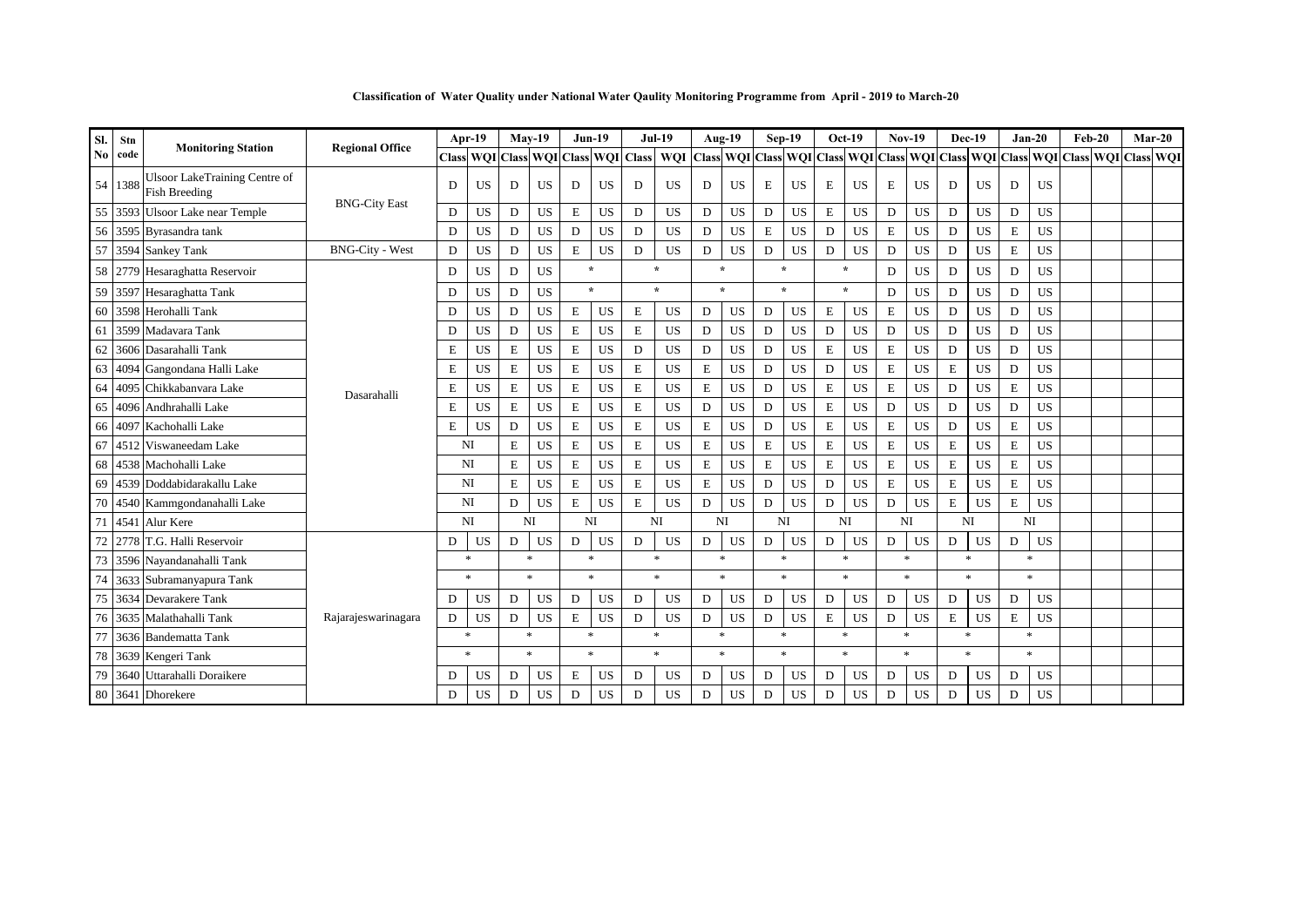|  |  |  | Classification of Water Quality under National Water Qaulity Monitoring Programme from April - 2019 to March-20 |  |  |
|--|--|--|-----------------------------------------------------------------------------------------------------------------|--|--|
|  |  |  |                                                                                                                 |  |  |

| SI. | Stn     |                                                              |                        |   | Apr-19                              |   | $Mav-19$     |             | $Jun-19$  |   | <b>Jul-19</b> |                                         | Aug-19       |             | Sep-19    | $Oct-19$            |           | <b>Nov-19</b>  |           | <b>Dec-19</b> |           |             | $Jan-20$       | $Feb-20$                                | $Mar-20$ |
|-----|---------|--------------------------------------------------------------|------------------------|---|-------------------------------------|---|--------------|-------------|-----------|---|---------------|-----------------------------------------|--------------|-------------|-----------|---------------------|-----------|----------------|-----------|---------------|-----------|-------------|----------------|-----------------------------------------|----------|
| No. | code    | <b>Monitoring Station</b>                                    | <b>Regional Office</b> |   | Class WOI Class WOI Class WOI Class |   |              |             |           |   | <b>WOI</b>    | Class WQI Class WQI Class WQI Class WQI |              |             |           |                     |           |                |           |               |           |             |                | Class WOI Class WOI Class WOI Class WOI |          |
|     | 54 1388 | <b>Ulsoor LakeTraining Centre of</b><br><b>Fish Breeding</b> |                        | D | <b>US</b>                           | D | <b>US</b>    | D           | <b>US</b> | D | <b>US</b>     | D                                       | <b>US</b>    | Ε           | <b>US</b> | E                   | <b>US</b> | E              | <b>US</b> | D             | <b>US</b> | D           | <b>US</b>      |                                         |          |
|     |         | 55 3593 Ulsoor Lake near Temple                              | <b>BNG-City East</b>   | D | <b>US</b>                           | D | <b>US</b>    | E           | US        | D | US            | D                                       | <b>US</b>    | D           | <b>US</b> | $\bf E$             | <b>US</b> | D              | <b>US</b> | D             | <b>US</b> | D           | <b>US</b>      |                                         |          |
|     |         | 56 3595 Byrasandra tank                                      |                        | D | <b>US</b>                           | D | <b>US</b>    | D           | <b>US</b> | D | <b>US</b>     | D                                       | <b>US</b>    | $\mathbf E$ | US        | D                   | <b>US</b> | Е              | <b>US</b> | D             | <b>US</b> | $\mathbf E$ | <b>US</b>      |                                         |          |
| 57  |         | 3594 Sankey Tank                                             | <b>BNG-City - West</b> | D | <b>US</b>                           | D | <b>US</b>    | E           | US        | D | <b>US</b>     | D                                       | <b>US</b>    | D           | <b>US</b> | D                   | <b>US</b> | D              | <b>US</b> | D             | <b>US</b> | E           | <b>US</b>      |                                         |          |
|     |         | 58 2779 Hesaraghatta Reservoir                               |                        | D | <b>US</b>                           | D | <b>US</b>    | $\star$     |           |   | $\star$       |                                         | $\star$      |             | $\star$   | $\star$             |           | D              | <b>US</b> | D             | <b>US</b> | D           | <b>US</b>      |                                         |          |
| 59  |         | 3597 Hesaraghatta Tank                                       |                        | D | US                                  | D | <b>US</b>    | $\star$     |           |   | $\star$       |                                         | $\mathbf{d}$ |             | $\star$   | $\star$             |           | D              | <b>US</b> | D             | <b>US</b> | $\mathbf D$ | <b>US</b>      |                                         |          |
| 60  |         | 3598 Herohalli Tank                                          |                        | D | <b>US</b>                           | D | <b>US</b>    | ${\bf E}$   | <b>US</b> | E | <b>US</b>     | D                                       | <b>US</b>    | D           | US        | E                   | <b>US</b> | E              | <b>US</b> | ${\bf D}$     | <b>US</b> | $\mathbf D$ | <b>US</b>      |                                         |          |
| 61  |         | 3599 Madavara Tank                                           |                        | D | <b>US</b>                           | D | <b>US</b>    | ${\bf E}$   | <b>US</b> | E | <b>US</b>     | D                                       | <b>US</b>    | D           | <b>US</b> | D                   | <b>US</b> | D              | <b>US</b> | D             | <b>US</b> | D           | <b>US</b>      |                                         |          |
| 62  |         | 3606 Dasarahalli Tank                                        |                        | Е | <b>US</b>                           | E | <b>US</b>    | $\mathbf E$ | <b>US</b> | D | <b>US</b>     | D                                       | <b>US</b>    | D           | <b>US</b> | E                   | <b>US</b> | E              | <b>US</b> | D             | <b>US</b> | D           | <b>US</b>      |                                         |          |
| 63  |         | 4094 Gangondana Halli Lake                                   | Dasarahalli            | E | <b>US</b>                           | E | <b>US</b>    | $\mathbf E$ | <b>US</b> | E | <b>US</b>     | $\mathbf E$                             | <b>US</b>    | $\mathbf D$ | <b>US</b> | D                   | <b>US</b> | E              | <b>US</b> | $\mathbf E$   | <b>US</b> | $\mathbf D$ | <b>US</b>      |                                         |          |
| 64  |         | 4095 Chikkabanyara Lake                                      |                        | Е | <b>US</b>                           | E | <b>US</b>    | $\mathbf E$ | <b>US</b> | E | $_{\rm US}$   | $\mathbf E$                             | US           | $\mathbf D$ | <b>US</b> | $\bf E$             | <b>US</b> | E              | <b>US</b> | D             | <b>US</b> | $\mathbf E$ | <b>US</b>      |                                         |          |
| 65  |         | 4096 Andhrahalli Lake                                        |                        | E | US                                  | E | $_{\rm US}$  | ${\bf E}$   | <b>US</b> | E | <b>US</b>     | $\mathbf D$                             | $_{\rm US}$  | $\mathbf D$ | US        | E                   | <b>US</b> | D              | <b>US</b> | D             | <b>US</b> | $\mathbf D$ | <b>US</b>      |                                         |          |
| 66  |         | 4097 Kachohalli Lake                                         |                        | E | <b>US</b>                           | D | <b>US</b>    | $\mathbf E$ | <b>US</b> | Е | <b>US</b>     | E                                       | <b>US</b>    | $\mathbf D$ | US        | E                   | <b>US</b> | E              | <b>US</b> | D             | <b>US</b> | $\mathbf E$ | <b>US</b>      |                                         |          |
| 67  |         | 4512 Viswaneedam Lake                                        |                        |   | NI                                  | Е | <b>US</b>    | $\mathbf E$ | <b>US</b> | E | <b>US</b>     | $\mathbf E$                             | <b>US</b>    | $\mathbf E$ | US        | E                   | <b>US</b> | Е              | <b>US</b> | $\mathbf E$   | <b>US</b> | $\mathbf E$ | <b>US</b>      |                                         |          |
| 68  |         | 4538 Machohalli Lake                                         |                        |   | NI                                  | E | <b>US</b>    | $\mathbf E$ | <b>US</b> | E | <b>US</b>     | $\mathbf E$                             | <b>US</b>    | $\mathbf E$ | US        | E                   | <b>US</b> | E              | <b>US</b> | E             | <b>US</b> | ${\bf E}$   | <b>US</b>      |                                         |          |
| 69  |         | 4539 Doddabidarakallu Lake                                   |                        |   | NI                                  | E | <b>US</b>    | ${\bf E}$   | <b>US</b> | E | <b>US</b>     | $\mathbf E$                             | US           | D           | US        | D                   | <b>US</b> | E              | <b>US</b> | $\mathbf E$   | US        | $\mathbf E$ | <b>US</b>      |                                         |          |
| 70  |         | 4540 Kammgondanahalli Lake                                   |                        |   | NI                                  | D | <b>US</b>    | E           | <b>US</b> | E | <b>US</b>     | D                                       | <b>US</b>    | D           | US        | D                   | <b>US</b> | D              | <b>US</b> | E             | <b>US</b> | E           | <b>US</b>      |                                         |          |
| 71  |         | 4541 Alur Kere                                               |                        |   | NI                                  |   | NI           | <b>NI</b>   |           |   | NI            |                                         | NI           |             | NI        | NI                  |           | N <sub>I</sub> |           | NI            |           |             | N <sub>I</sub> |                                         |          |
| 72  |         | 2778 T.G. Halli Reservoir                                    |                        | D | <b>US</b>                           | D | <b>US</b>    | D           | <b>US</b> | D | US            | D                                       | <b>US</b>    | D           | US        | D                   | <b>US</b> | D              | <b>US</b> | D             | <b>US</b> | D           | <b>US</b>      |                                         |          |
| 73  |         | 3596 Nayandanahalli Tank                                     |                        |   | $\ast$                              |   | $\ast$       |             | $\ast$    |   | $\ast$        |                                         | $\ast$       |             | $\ast$    | $\ast$              |           | $\ast$         |           | $\ast$        |           |             | $\ast$         |                                         |          |
|     |         | 74 3633 Subramanyapura Tank                                  |                        |   | $\ast$                              |   | $\mathbf{x}$ | $\ast$      |           |   | $\ast$        |                                         | $\ast$       |             | $\ast$    | $\boldsymbol{\ast}$ |           | $\mathbf{x}$   |           | $\ast$        |           |             | $\mathbf{x}$   |                                         |          |
| 75  |         | 3634 Devarakere Tank                                         |                        | D | <b>US</b>                           | D | <b>US</b>    | D           | <b>US</b> | D | <b>US</b>     | D                                       | <b>US</b>    | D           | US        | D                   | <b>US</b> | D              | <b>US</b> | D             | <b>US</b> | D           | <b>US</b>      |                                         |          |
|     |         | 76 3635 Malathahalli Tank                                    | Rajarajeswarinagara    | D | <b>US</b>                           | D | <b>US</b>    | $\mathbf E$ | <b>US</b> | D | <b>US</b>     | D                                       | <b>US</b>    | D           | US        | E                   | <b>US</b> | D              | <b>US</b> | E             | <b>US</b> | $\mathbf E$ | <b>US</b>      |                                         |          |
| 77  |         | 3636 Bandematta Tank                                         |                        |   | $\ast$                              |   | $\ast$       | $\ast$      |           |   | $\ast$        |                                         | $\mathbf{x}$ |             | $\ast$    | $\ast$              |           | $\ast$         |           | $\ast$        |           |             | $\ast$         |                                         |          |
| 78  |         | 3639 Kengeri Tank                                            |                        |   | $\ast$                              |   | $\ast$       | $\ast$      |           |   | $\ast$        |                                         | $\mathbf{x}$ |             | $\ast$    | $\boldsymbol{\ast}$ |           | $\ast$         |           | $\ast$        |           |             | $\mathbf{x}$   |                                         |          |
| 79  |         | 3640 Uttarahalli Doraikere                                   |                        | D | US                                  | D | <b>US</b>    | E           | <b>US</b> | D | <b>US</b>     | D                                       | <b>US</b>    | D           | US        | D                   | <b>US</b> | D              | <b>US</b> | D             | <b>US</b> | D           | <b>US</b>      |                                         |          |
|     |         | 80 3641 Dhorekere                                            |                        | D | <b>US</b>                           | D | <b>US</b>    | D           | <b>US</b> | D | <b>US</b>     | D                                       | <b>US</b>    | $\mathbf D$ | US        | D                   | <b>US</b> | D              | <b>US</b> | D             | <b>US</b> | D           | <b>US</b>      |                                         |          |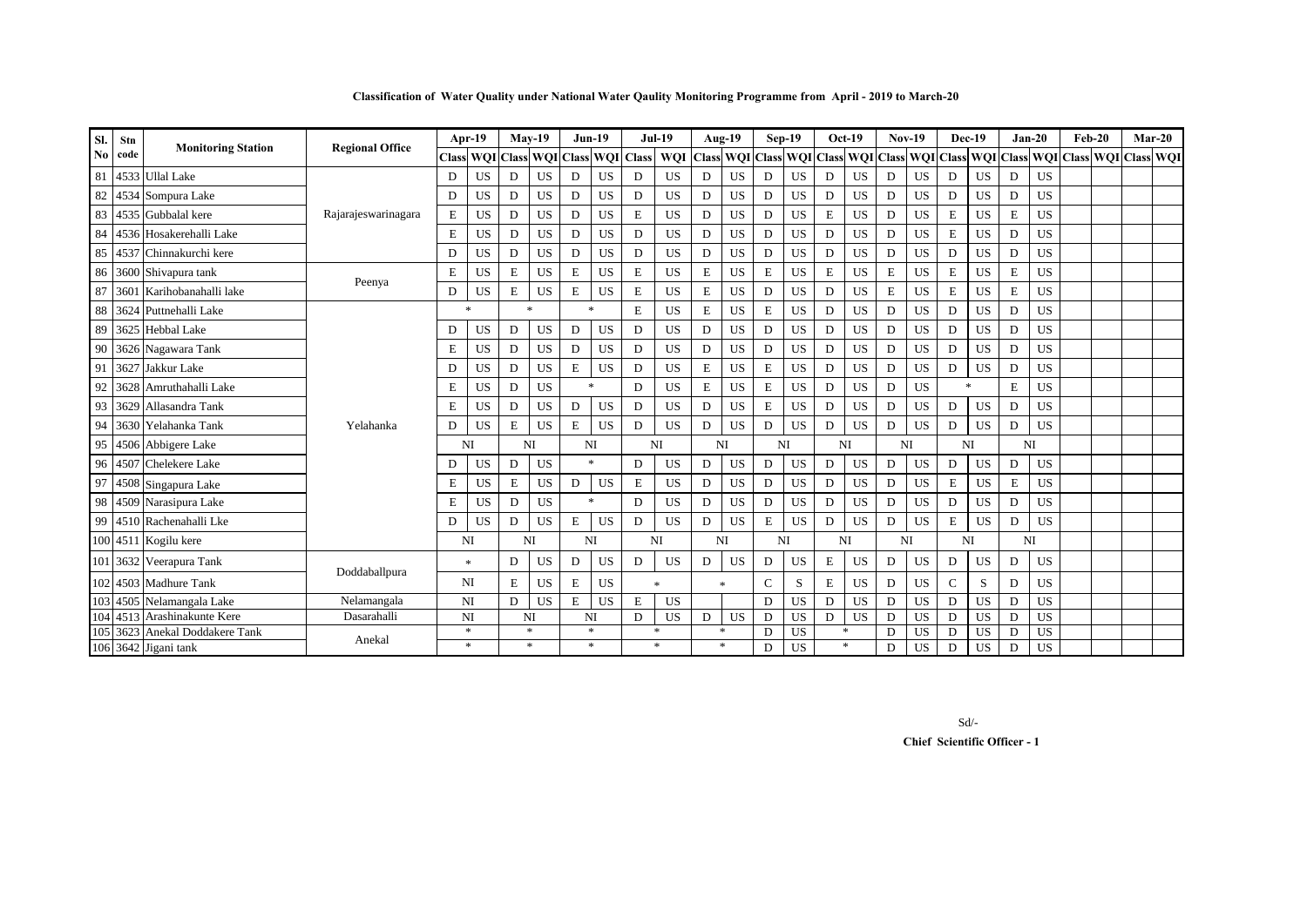|  |  |  | Classification of Water Quality under National Water Qaulity Monitoring Programme from April - 2019 to March-20 |  |  |
|--|--|--|-----------------------------------------------------------------------------------------------------------------|--|--|
|  |  |  |                                                                                                                 |  |  |

| Sl.<br>Stn<br><b>Monitoring Station</b><br>No<br>code | <b>Regional Office</b> |                            | Apr-19              |   | $Mav-19$               | $Jun-19$  |           |             | <b>Jul-19</b> |                                   | Aug-19    | Sep-19       |           |             | $Oct-19$  | <b>Nov-19</b> |           | <b>Dec-19</b> |           |              | $Jan-20$  | $Feb-20$    | $Mar-20$       |                                                                                 |  |
|-------------------------------------------------------|------------------------|----------------------------|---------------------|---|------------------------|-----------|-----------|-------------|---------------|-----------------------------------|-----------|--------------|-----------|-------------|-----------|---------------|-----------|---------------|-----------|--------------|-----------|-------------|----------------|---------------------------------------------------------------------------------|--|
|                                                       |                        |                            |                     |   | <b>Class WQI Class</b> |           |           |             |               | <b>WQI</b> Class <b>WQI</b> Class | WQI       |              |           |             |           |               |           |               |           |              |           |             |                | Class WQI Class WQI Class WQI Class WQI Class WQI Class WQI Class WQI Class WQI |  |
| 81                                                    |                        | 4533 Ullal Lake            |                     | D | <b>US</b>              | D         | <b>US</b> | D           | <b>US</b>     | D                                 | US        | D            | <b>US</b> | D           | <b>US</b> | D             | <b>US</b> | D             | <b>US</b> | D            | <b>US</b> | D           | <b>US</b>      |                                                                                 |  |
|                                                       |                        | 82 4534 Sompura Lake       |                     | D | <b>US</b>              | D         | <b>US</b> | D           | <b>US</b>     | D                                 | <b>US</b> | D            | <b>US</b> | D           | <b>US</b> | D             | <b>US</b> | D             | <b>US</b> | D            | <b>US</b> | D           | <b>US</b>      |                                                                                 |  |
| 83                                                    |                        | 4535 Gubbalal kere         | Rajarajeswarinagara | E | <b>US</b>              | D         | <b>US</b> | D           | <b>US</b>     | E                                 | <b>US</b> | D            | <b>US</b> | D           | <b>US</b> | E             | <b>US</b> | D             | <b>US</b> | $\mathbf E$  | <b>US</b> | $\mathbf E$ | <b>US</b>      |                                                                                 |  |
| 84                                                    |                        | 4536 Hosakerehalli Lake    |                     | E | <b>US</b>              | D         | <b>US</b> | D           | <b>US</b>     | D                                 | <b>US</b> | D            | <b>US</b> | D           | <b>US</b> | D             | <b>US</b> | D             | <b>US</b> | E            | <b>US</b> | D           | <b>US</b>      |                                                                                 |  |
| 85                                                    |                        | 4537 Chinnakurchi kere     |                     | D | <b>US</b>              | D         | <b>US</b> | D           | US            | D                                 | <b>US</b> | D            | <b>US</b> | D           | <b>US</b> | D             | <b>US</b> | D             | <b>US</b> | D            | <b>US</b> | D           | <b>US</b>      |                                                                                 |  |
| 86                                                    |                        | 3600 Shivapura tank        |                     | E | <b>US</b>              | E         | <b>US</b> | $\mathbf E$ | <b>US</b>     | Е                                 | <b>US</b> | $\mathbf E$  | <b>US</b> | $\mathbf E$ | <b>US</b> | $\mathbf E$   | <b>US</b> | E             | <b>US</b> | E            | <b>US</b> | $\mathbf E$ | <b>US</b>      |                                                                                 |  |
| 87                                                    |                        | 3601 Karihobanahalli lake  | Peenya              | D | <b>US</b>              | E         | <b>US</b> | E           | <b>US</b>     | E                                 | <b>US</b> | E            | <b>US</b> | D           | <b>US</b> | D             | <b>US</b> | E             | <b>US</b> | E            | <b>US</b> | $\mathbf E$ | <b>US</b>      |                                                                                 |  |
| 88                                                    |                        | 3624 Puttnehalli Lake      |                     |   | $\ast$                 |           | sk.       | $\ast$      |               | E                                 | <b>US</b> | $\mathbf E$  | <b>US</b> | $\mathbf E$ | <b>US</b> | D             | <b>US</b> | D             | <b>US</b> | D            | <b>US</b> | D           | <b>US</b>      |                                                                                 |  |
| 89                                                    |                        | 3625 Hebbal Lake           |                     | D | <b>US</b>              | D         | <b>US</b> | D           | <b>US</b>     | D                                 | <b>US</b> | D            | <b>US</b> | D           | <b>US</b> | D             | <b>US</b> | D             | <b>US</b> | D            | <b>US</b> | D           | <b>US</b>      |                                                                                 |  |
| 90                                                    |                        | 3626 Nagawara Tank         |                     | E | US.                    | D         | <b>US</b> | D           | <b>US</b>     | D                                 | <b>US</b> | D            | <b>US</b> | D           | <b>US</b> | D             | <b>US</b> | D             | <b>US</b> | D            | US        | D           | <b>US</b>      |                                                                                 |  |
| 91                                                    | 3627                   | Jakkur Lake                |                     | D | <b>US</b>              | D         | <b>US</b> | $\mathbf E$ | <b>US</b>     | D                                 | <b>US</b> | $\mathbf E$  | <b>US</b> | $\mathbf E$ | <b>US</b> | D             | <b>US</b> | D             | <b>US</b> | D            | <b>US</b> | D           | <b>US</b>      |                                                                                 |  |
| 92                                                    |                        | 3628 Amruthahalli Lake     |                     | E | <b>US</b>              | D         | <b>US</b> | $\ast$      |               | D                                 | <b>US</b> | $\mathbf E$  | <b>US</b> | $\mathbf E$ | <b>US</b> | D             | <b>US</b> | D             | <b>US</b> | $\mathbf{x}$ |           | E           | <b>US</b>      |                                                                                 |  |
| 93                                                    |                        | 3629 Allasandra Tank       |                     | Ε | <b>US</b>              | D         | <b>US</b> | D           | <b>US</b>     | D                                 | <b>US</b> | D            | <b>US</b> | $\mathbf E$ | <b>US</b> | D             | <b>US</b> | D             | <b>US</b> | D            | <b>US</b> | D           | <b>US</b>      |                                                                                 |  |
| 94                                                    |                        | 3630 Yelahanka Tank        | Yelahanka           | D | <b>US</b>              | E         | <b>US</b> | E           | <b>US</b>     | D                                 | <b>US</b> | D            | <b>US</b> | D           | <b>US</b> | D             | <b>US</b> | D             | <b>US</b> | D            | <b>US</b> | D           | <b>US</b>      |                                                                                 |  |
| 95                                                    |                        | 4506 Abbigere Lake         |                     |   | NI                     | <b>NI</b> |           | NI          |               |                                   | NI        | NI           |           | NI          |           |               | NI        | NI            |           | NI           |           |             | N <sub>I</sub> |                                                                                 |  |
| 96                                                    |                        | 4507 Chelekere Lake        |                     | D | <b>US</b>              | D         | <b>US</b> | $\ast$      |               | D                                 | <b>US</b> | D            | <b>US</b> | D           | <b>US</b> | D             | <b>US</b> | D             | <b>US</b> | D            | <b>US</b> | D           | <b>US</b>      |                                                                                 |  |
| 97                                                    |                        | 4508 Singapura Lake        |                     | E | <b>US</b>              | E         | <b>US</b> | D           | <b>US</b>     | E                                 | <b>US</b> | D            | <b>US</b> | D           | <b>US</b> | D             | <b>US</b> | D             | <b>US</b> | E            | <b>US</b> | $\mathbf E$ | <b>US</b>      |                                                                                 |  |
| 98                                                    |                        | 4509 Narasipura Lake       |                     | E | <b>US</b>              | D         | <b>US</b> | $\ast$      |               | D                                 | <b>US</b> | D            | <b>US</b> | D           | <b>US</b> | D             | <b>US</b> | D             | <b>US</b> | D            | <b>US</b> | D           | <b>US</b>      |                                                                                 |  |
| 99                                                    |                        | 4510 Rachenahalli Lke      |                     | D | <b>US</b>              | D         | <b>US</b> | $\mathbf E$ | <b>US</b>     | D                                 | <b>US</b> | D            | <b>US</b> | $\mathbf E$ | <b>US</b> | D             | <b>US</b> | D             | <b>US</b> | E            | <b>US</b> | D           | <b>US</b>      |                                                                                 |  |
|                                                       |                        | 100 4511 Kogilu kere       |                     |   | NI                     |           | NI        | NI          |               |                                   | <b>NI</b> | NI           |           | NI          |           |               | NI        | NI            |           | NI           |           |             | N <sub>I</sub> |                                                                                 |  |
| 101                                                   |                        | 3632 Veerapura Tank        |                     |   | $\ast$                 | D         | US        | D           | <b>US</b>     | D                                 | <b>US</b> | D            | <b>US</b> | D           | US        | E             | <b>US</b> | D             | <b>US</b> | D            | <b>US</b> | D           | <b>US</b>      |                                                                                 |  |
|                                                       |                        | 102 4503 Madhure Tank      | Doddaballpura       |   | <b>NI</b>              |           | <b>US</b> | $\mathbf E$ | <b>US</b>     |                                   | $\ast$    | $\mathbf{r}$ |           | $\mathbf C$ | S         | E             | <b>US</b> | D             | <b>US</b> | $\mathbf C$  | S         | $\mathbf D$ | <b>US</b>      |                                                                                 |  |
|                                                       |                        | 103 4505 Nelamangala Lake  | Nelamangala         |   | <b>NI</b>              | D         | <b>US</b> | $\mathbf E$ | <b>US</b>     | E                                 | <b>US</b> |              |           | D           | <b>US</b> | D             | <b>US</b> | D             | <b>US</b> | D            | <b>US</b> | D           | <b>US</b>      |                                                                                 |  |
| 104                                                   |                        | 4513 Arashinakunte Kere    | Dasarahalli         |   | NI                     |           | NI        | NI          |               | D                                 | <b>US</b> | D            | <b>US</b> | D           | <b>US</b> | D             | <b>US</b> | D             | <b>US</b> | D            | <b>US</b> | $\mathbf D$ | <b>US</b>      |                                                                                 |  |
| 105                                                   |                        | 3623 Anekal Doddakere Tank | Anekal              |   | $\ast$                 | $\ast$    |           | $\ast$      |               |                                   | $\ast$    | 米            |           | D           | <b>US</b> |               | *         | D             | <b>US</b> | D            | <b>US</b> | D           | <b>US</b>      |                                                                                 |  |
|                                                       |                        | 106 3642 Jigani tank       |                     |   | $*$                    |           | $\ast$    | $\ast$      |               |                                   | $\ast$    | $\ast$       |           | D           | <b>US</b> |               | $\ast$    | D             | <b>US</b> | D            | <b>US</b> | D           | <b>US</b>      |                                                                                 |  |

Sd/-

 **Chief Scientific Officer - 1**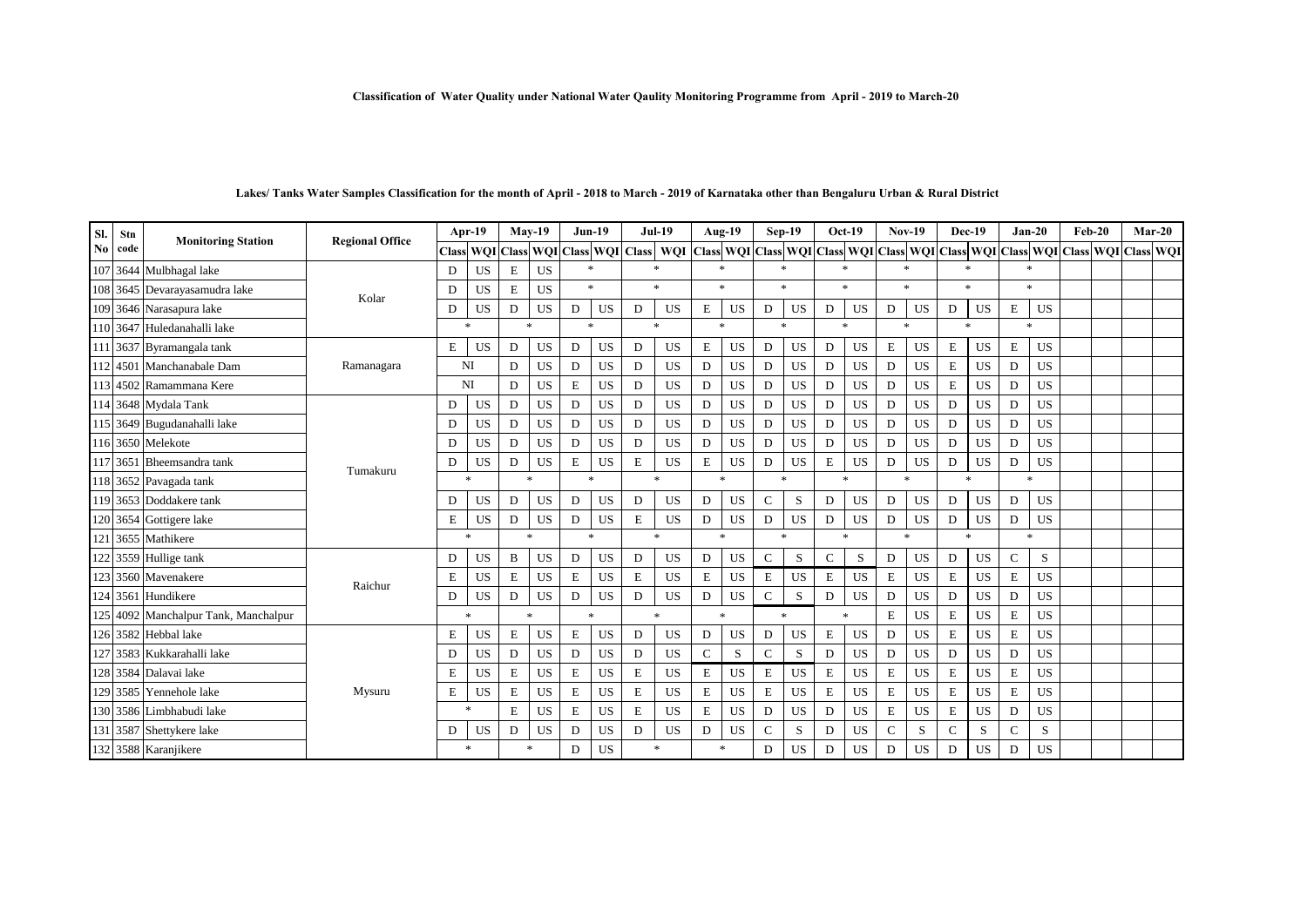#### **Classification of Water Quality under National Water Qaulity Monitoring Programme from April - 2019 to March-20**

| SI. | Stn      | <b>Monitoring Station</b>            | <b>Regional Office</b> |             | Apr-19    | $Mav-19$    |           | $Jun-19$    |           |             | <b>Jul-19</b>                           |             | Aug-19       | Sep-19       |             |                     | <b>Oct-19</b> | <b>Nov-19</b> |           | Dec-19       |           | $Jan-20$      |           | $Feb-20$                                                                                  | $Mar-20$ |
|-----|----------|--------------------------------------|------------------------|-------------|-----------|-------------|-----------|-------------|-----------|-------------|-----------------------------------------|-------------|--------------|--------------|-------------|---------------------|---------------|---------------|-----------|--------------|-----------|---------------|-----------|-------------------------------------------------------------------------------------------|----------|
| No  | code     |                                      |                        |             |           |             |           |             |           |             | Class WQI Class WQI Class WQI Class WQI |             |              |              |             |                     |               |               |           |              |           |               |           | Class WQI Class WQI Class WQI Class WQI Class WQI Class WQI Class WQI Class WQI Class WQI |          |
|     |          | 107 3644 Mulbhagal lake              |                        | D           | <b>US</b> | E           | <b>US</b> | $\ast$      |           |             | $\ast$                                  |             | $\ast$       |              | $\ast$      | $\mathbf{r}$        |               |               |           |              |           | $\ast$        |           |                                                                                           |          |
|     |          | 108 3645 Devarayasamudra lake        | Kolar                  | D           | <b>US</b> | $\mathbf E$ | <b>US</b> | $*$         |           |             | $*$                                     |             | $\mathbf{x}$ | $\mathbf{x}$ |             | $\boldsymbol{\ast}$ |               | $\ast$        |           | $\mathbf{x}$ |           | $\mathbf{x}$  |           |                                                                                           |          |
|     |          | 109 3646 Narasapura lake             |                        | D           | <b>US</b> | D           | <b>US</b> | D           | <b>US</b> | D           | <b>US</b>                               | E           | <b>US</b>    | D            | <b>US</b>   | D                   | <b>US</b>     | D             | <b>US</b> | D            | <b>US</b> | E             | <b>US</b> |                                                                                           |          |
|     |          | 110 3647 Huledanahalli lake          |                        |             | $\ast$    |             | $\ast$    | $\ast$      |           |             | $\ast$                                  |             | $\ast$       |              | $\ast$      | $\boldsymbol{\ast}$ |               | $\ast$        |           | $\ast$       |           | $\ast$        |           |                                                                                           |          |
|     |          | 111 3637 Byramangala tank            |                        | $\mathbf E$ | <b>US</b> | D           | <b>US</b> | D           | <b>US</b> | D           | <b>US</b>                               | $\mathbf E$ | <b>US</b>    | D            | <b>US</b>   | D                   | <b>US</b>     | E             | <b>US</b> | $\mathbf E$  | <b>US</b> | $\mathbf E$   | <b>US</b> |                                                                                           |          |
| 112 | 4501     | Manchanabale Dam                     | Ramanagara             |             | NI        | D           | <b>US</b> | D           | <b>US</b> | D           | <b>US</b>                               | D           | <b>US</b>    | D            | <b>US</b>   | D                   | US            | D             | <b>US</b> | E            | <b>US</b> | D             | <b>US</b> |                                                                                           |          |
|     |          | 113 4502 Ramammana Kere              |                        |             | NI        | D           | <b>US</b> | E           | <b>US</b> | D           | <b>US</b>                               | D           | <b>US</b>    | D            | <b>US</b>   | D                   | US            | D             | <b>US</b> | E            | <b>US</b> | D             | <b>US</b> |                                                                                           |          |
|     |          | 114 3648 Mydala Tank                 |                        | D           | <b>US</b> | D           | <b>US</b> | D           | <b>US</b> | D           | <b>US</b>                               | D           | <b>US</b>    | D            | <b>US</b>   | D                   | US            | D             | <b>US</b> | D            | <b>US</b> | D             | <b>US</b> |                                                                                           |          |
|     |          | 115 3649 Bugudanahalli lake          |                        | D           | <b>US</b> | D           | <b>US</b> | D           | <b>US</b> | D           | <b>US</b>                               | D           | <b>US</b>    | D            | <b>US</b>   | D                   | <b>US</b>     | D             | <b>US</b> | D            | <b>US</b> | D             | <b>US</b> |                                                                                           |          |
|     |          | 116 3650 Melekote                    |                        | D           | <b>US</b> | D           | <b>US</b> | D           | <b>US</b> | D           | <b>US</b>                               | D           | <b>US</b>    | D            | <b>US</b>   | D                   | <b>US</b>     | D             | <b>US</b> | D            | <b>US</b> | D             | <b>US</b> |                                                                                           |          |
|     | 117 3651 | Bheemsandra tank                     | Tumakuru               | D           | <b>US</b> | D           | <b>US</b> | $\mathbf E$ | <b>US</b> | $\mathbf E$ | <b>US</b>                               | $\mathbf E$ | <b>US</b>    | D            | US          | $\mathbf E$         | US            | D             | <b>US</b> | D            | <b>US</b> | D             | <b>US</b> |                                                                                           |          |
|     |          | 118 3652 Pavagada tank               |                        |             | $\ast$    |             | $\ast$    | $\ast$      |           |             | $\ast$                                  |             | $*$          |              | $\ast$      |                     | $\ast$        | $\ast$        |           | $\ast$       |           | ÷.            |           |                                                                                           |          |
|     |          | 119 3653 Doddakere tank              |                        | D           | <b>US</b> | D           | <b>US</b> | D           | <b>US</b> | D           | <b>US</b>                               | D           | <b>US</b>    | $\mathbf C$  | S           | D                   | US            | D             | <b>US</b> | D            | <b>US</b> | D             | <b>US</b> |                                                                                           |          |
|     |          | 120 3654 Gottigere lake              |                        | E           | <b>US</b> | D           | <b>US</b> | D           | <b>US</b> | E           | <b>US</b>                               | D           | <b>US</b>    | D            | <b>US</b>   | D                   | <b>US</b>     | D             | <b>US</b> | D            | <b>US</b> | $\mathbf D$   | <b>US</b> |                                                                                           |          |
| 121 |          | 3655 Mathikere                       |                        |             | $\ast$    |             | $\ast$    | $*$         |           |             | $*$                                     |             | $*$          |              | $\ast$      | $\boldsymbol{\ast}$ |               | $\mathbf{x}$  |           | $\mathbf{x}$ |           | ÷.            |           |                                                                                           |          |
| 122 |          | 3559 Hullige tank                    |                        | D           | <b>US</b> | B           | <b>US</b> | D           | <b>US</b> | D           | <b>US</b>                               | D           | <b>US</b>    | $\mathbf C$  | S           | $\mathsf{C}$        | S             | D             | <b>US</b> | D            | <b>US</b> | $\mathcal{C}$ | S         |                                                                                           |          |
| 123 |          | 3560 Mavenakere                      | Raichur                | E           | <b>US</b> | E           | <b>US</b> | E           | <b>US</b> | E           | <b>US</b>                               | E           | <b>US</b>    | E            | <b>US</b>   | E                   | US            | Е             | <b>US</b> | E            | <b>US</b> | E             | <b>US</b> |                                                                                           |          |
| 124 | 3561     | Hundikere                            |                        | D           | <b>US</b> | D           | <b>US</b> | D           | <b>US</b> | D           | <b>US</b>                               | D           | <b>US</b>    | $\mathbf C$  | $\mathbf S$ | D                   | US            | D             | <b>US</b> | D            | <b>US</b> | D             | <b>US</b> |                                                                                           |          |
|     |          | 125 4092 Manchalpur Tank, Manchalpur |                        |             | $\ast$    |             | $\ast$    | $\ast$      |           |             | $*$                                     |             | $\ast$       |              | $\ast$      | $\ast$              |               | E             | <b>US</b> | $\mathbf E$  | <b>US</b> | $\mathbf E$   | <b>US</b> |                                                                                           |          |
|     |          | 126 3582 Hebbal lake                 |                        | E           | <b>US</b> | Ε           | <b>US</b> | E           | <b>US</b> | D           | <b>US</b>                               | D           | US           | D            | US          | Е                   | US            | D             | US        | Ε            | <b>US</b> | E             | <b>US</b> |                                                                                           |          |
| 127 |          | 3583 Kukkarahalli lake               |                        | D           | <b>US</b> | D           | <b>US</b> | D           | <b>US</b> | D           | <b>US</b>                               | $\mathbf C$ | S            | $\mathbf C$  | S           | D                   | <b>US</b>     | D             | <b>US</b> | D            | <b>US</b> | D             | <b>US</b> |                                                                                           |          |
|     |          | 128 3584 Dalavai lake                |                        | E           | <b>US</b> | E           | <b>US</b> | E           | <b>US</b> | E           | <b>US</b>                               | E           | <b>US</b>    | E            | <b>US</b>   | E                   | US            | E             | <b>US</b> | E            | <b>US</b> | $\mathbf E$   | <b>US</b> |                                                                                           |          |
|     |          | 129 3585 Yennehole lake              | Mysuru                 | Ε           | <b>US</b> | Ε           | <b>US</b> | E           | <b>US</b> | E           | <b>US</b>                               | Е           | <b>US</b>    | E            | <b>US</b>   | Е                   | US            | Е             | <b>US</b> | Ε            | <b>US</b> | $\mathbf E$   | <b>US</b> |                                                                                           |          |
| 130 | 3586     | Limbhabudi lake                      |                        |             | $\ast$    | E           | <b>US</b> | $\mathbf E$ | <b>US</b> | $\mathbf E$ | <b>US</b>                               | $\mathbf E$ | <b>US</b>    | D            | <b>US</b>   | D                   | US            | Е             | <b>US</b> | E            | <b>US</b> | D             | <b>US</b> |                                                                                           |          |
|     |          | 131 3587 Shettykere lake             |                        | D           | US        | D           | <b>US</b> | D           | <b>US</b> | D           | <b>US</b>                               | D           | <b>US</b>    | $\mathbf C$  | S           | D                   | <b>US</b>     | $\mathbf C$   | S         | C            | S         | $\mathcal{C}$ | S         |                                                                                           |          |
|     |          | 132 3588 Karanjikere                 |                        |             | $\ast$    |             | $\ast$    | D           | <b>US</b> |             | $\ast$                                  |             | $\ast$       | D            | <b>US</b>   | D                   | <b>US</b>     | D             | <b>US</b> | D            | <b>US</b> | D             | <b>US</b> |                                                                                           |          |

# **Lakes/ Tanks Water Samples Classification for the month of April - 2018 to March - 2019 of Karnataka other than Bengaluru Urban & Rural District**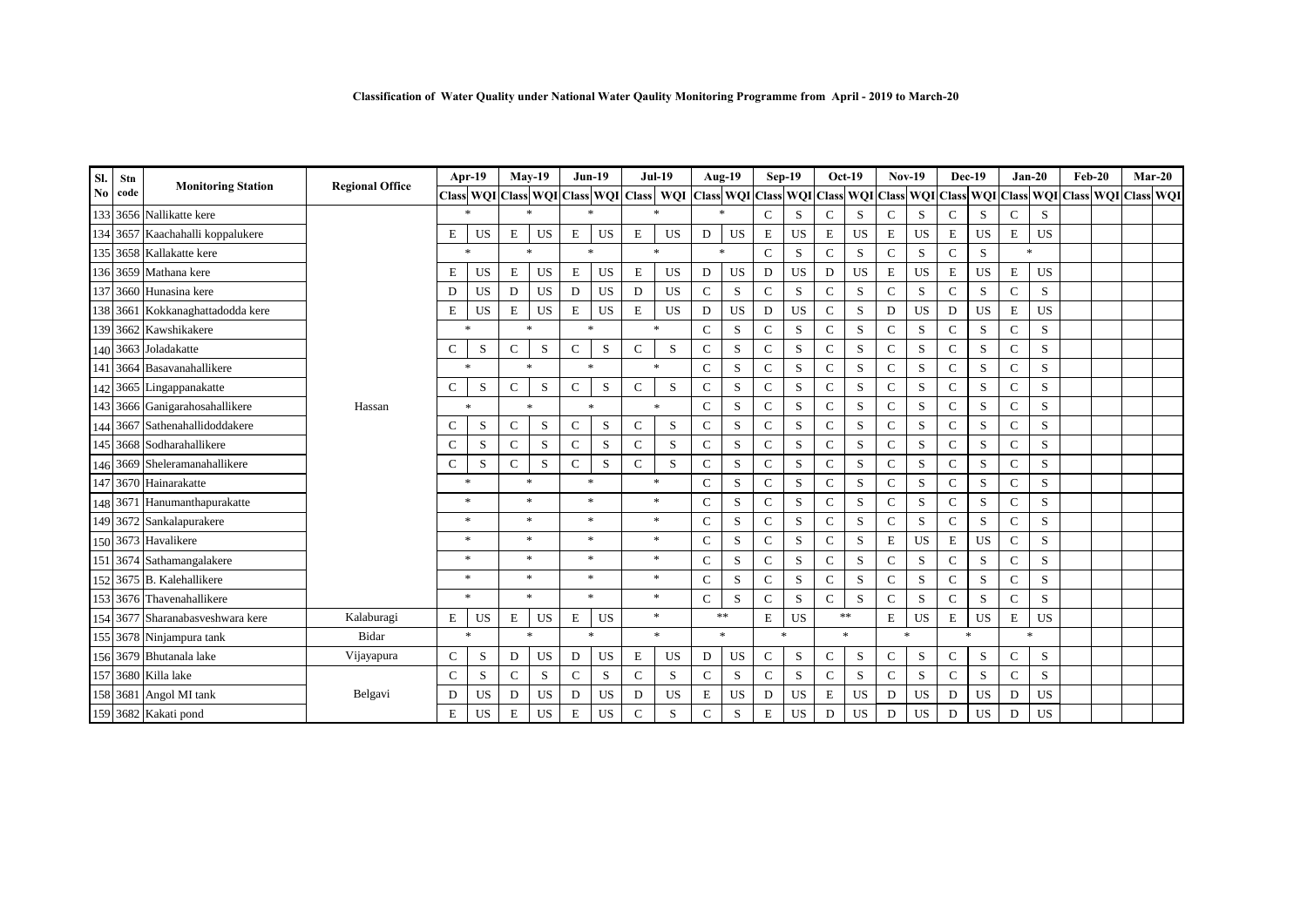| Sl.                    | Stn      | <b>Monitoring Station</b>        | <b>Regional Office</b> |               | Apr-19                              |              | $Mav-19$     |               | $Jun-19$  |               | <b>Jul-19</b> |               | <b>Aug-19</b>          |               | $Sep-19$             |               | $Oct-19$  | <b>Nov-19</b> |           | <b>Dec-19</b> |           | $Jan-20$      |             | $Feb-20$ |                                                   | $Mar-20$ |  |
|------------------------|----------|----------------------------------|------------------------|---------------|-------------------------------------|--------------|--------------|---------------|-----------|---------------|---------------|---------------|------------------------|---------------|----------------------|---------------|-----------|---------------|-----------|---------------|-----------|---------------|-------------|----------|---------------------------------------------------|----------|--|
| $\mathbf{N}\mathbf{0}$ | code     |                                  |                        |               | Class WQI Class WQI Class WQI Class |              |              |               |           |               | <b>WOI</b>    |               | <b>Class WQI Class</b> |               | <b>WQI</b> Class WQI |               |           |               |           |               |           |               |             |          | Class WQI Class WQI Class WQI Class WQI Class WQI |          |  |
|                        |          | 133 3656 Nallikatte kere         |                        |               |                                     |              | $\ast$       |               |           |               | $\ast$        | $\ast$        |                        | $\mathcal{C}$ | S                    | $\mathcal{C}$ | S         | $\mathcal{C}$ | S         | $\mathcal{C}$ | S         | $\mathcal{C}$ | S           |          |                                                   |          |  |
|                        |          | 134 3657 Kaachahalli koppalukere |                        | E             | <b>US</b>                           | Ε            | US           | E             | <b>US</b> | E             | US            | D             | US                     | E             | <b>US</b>            | E             | <b>US</b> | Е             | <b>US</b> | E             | <b>US</b> | E             | <b>US</b>   |          |                                                   |          |  |
|                        |          | 135 3658 Kallakatte kere         |                        |               | $\mathbf{x}$                        |              | $\ast$       |               | $\ast$    |               | $\ast$        | $\ast$        |                        | $\mathbf C$   | S                    | $\mathbf C$   | S         | $\mathbf C$   | S         | $\mathcal{C}$ | S         | $\ast$        |             |          |                                                   |          |  |
|                        |          | 136 3659 Mathana kere            |                        | E             | US                                  | E            | <b>US</b>    | E             | US        | E             | US            | D             | <b>US</b>              | D             | <b>US</b>            | D             | <b>US</b> | E             | <b>US</b> | E             | <b>US</b> | E             | <b>US</b>   |          |                                                   |          |  |
|                        |          | 137 3660 Hunasina kere           |                        | D             | <b>US</b>                           | D            | <b>US</b>    | $\mathbf D$   | <b>US</b> | D             | <b>US</b>     | $\mathbf{C}$  | ${\bf S}$              | $\mathbf C$   | S                    | ${\bf C}$     | ${\bf S}$ | $\mathbf C$   | S         | $\mathbf C$   | S         | $\mathbf C$   | S           |          |                                                   |          |  |
|                        |          | 138 3661 Kokkanaghattadodda kere |                        | E             | <b>US</b>                           | Е            | <b>US</b>    | ${\bf E}$     | <b>US</b> | $\mathbf E$   | <b>US</b>     | D             | $_{\rm US}$            | ${\bf D}$     | $_{\rm US}$          | ${\bf C}$     | S         | D             | <b>US</b> | D             | <b>US</b> | E             | <b>US</b>   |          |                                                   |          |  |
|                        |          | 139 3662 Kawshikakere            |                        |               | $\mathbf{x}$                        |              | $\ast$       | $\ast$        |           |               | $\ast$        | $\mathbf C$   | S                      | $\mathbf C$   | S                    | $\mathsf{C}$  | S         | $\mathcal{C}$ | S         | $\mathcal{C}$ | S         | $\mathsf{C}$  | S           |          |                                                   |          |  |
|                        | 140 3663 | Joladakatte                      |                        | $\mathcal{C}$ | S                                   | $\mathbf C$  | S            | $\mathbf C$   | S         | $\mathcal{C}$ | S             | $\mathbf C$   | S                      | $\mathbf C$   | S                    | $\mathcal{C}$ | S         | $\mathbf C$   | S         | $\mathcal{C}$ | S         | $\mathsf{C}$  | S           |          |                                                   |          |  |
| 141                    | 3664     | Basavanahallikere                |                        |               | $\mathbf{x}$                        |              | $\mathbf{x}$ | $\mathbf{x}$  |           |               | $\ast$        | C             | S                      | $\mathbf C$   | S                    | $\mathbf C$   | S         | $\mathbf C$   | S         | $\mathcal{C}$ | S         | $\mathsf{C}$  | S           |          |                                                   |          |  |
|                        | 142 3665 | Lingappanakatte                  |                        | $\mathcal{C}$ | S                                   | $\mathbf C$  | S            | $\mathbf C$   | S         | $\mathcal{C}$ | S             | $\mathbf C$   | S                      | $\mathbf C$   | S                    | $\mathsf{C}$  | S         | $\mathbf C$   | S         | $\mathcal{C}$ | S         | $\mathcal{C}$ | S           |          |                                                   |          |  |
|                        |          | 143 3666 Ganigarahosahallikere   | Hassan                 |               | $\ast$                              |              | $\ast$       |               | $\ast$    |               | $\ast$        | C             | S                      | $\mathbf C$   | S                    | $\mathcal{C}$ | S         | $\mathbf C$   | S         | $\mathcal{C}$ | S         | $\mathsf{C}$  | S           |          |                                                   |          |  |
|                        |          | 144 3667 Sathenahallidoddakere   |                        | $\mathcal{C}$ | S                                   | $\mathbf C$  | S            | $\mathbf C$   | S         | $\mathbf{C}$  | S             | $\mathbf C$   | S                      | $\mathbf C$   | S                    | $\mathsf{C}$  | S         | $\mathbf C$   | S         | $\mathcal{C}$ | S         | $\mathcal{C}$ | S           |          |                                                   |          |  |
|                        |          | 145 3668 Sodharahallikere        |                        | C             | S                                   | $\mathsf{C}$ | S            | $\mathbf C$   | S         | $\mathbf C$   | S             | $\mathbf C$   | S                      | $\mathbf C$   | S                    | $\mathsf C$   | S         | $\mathbf C$   | S         | $\mathcal{C}$ | S         | C             | S           |          |                                                   |          |  |
|                        |          | 146 3669 Sheleramanahallikere    |                        | $\mathcal{C}$ | S                                   | $\mathbf C$  | S            | $\mathcal{C}$ | S         | $\mathcal{C}$ | S             | $\mathbf C$   | S                      | $\mathbf C$   | S                    | $\mathbf C$   | S         | $\mathcal{C}$ | S         | $\mathcal{C}$ | S         | $\mathcal{C}$ | S           |          |                                                   |          |  |
|                        |          | 147 3670 Hainarakatte            |                        |               | $\ast$                              |              | *            | 大             |           |               | *             | $\mathbf{C}$  | S                      | $\mathbf C$   | S                    | $\mathbf C$   | S         | $\mathbf C$   | S         | $\mathcal{C}$ | S         | $\mathsf{C}$  | S           |          |                                                   |          |  |
|                        |          | 148 3671 Hanumanthapurakatte     |                        |               | $\ast$                              |              | $\ast$       | $\ast$        |           |               | $\ast$        | $\mathbf C$   | S                      | $\mathbf C$   | S                    | $\mathbf C$   | S         | $\mathcal{C}$ | S         | $\mathbf C$   | S         | $\mathsf{C}$  | S           |          |                                                   |          |  |
|                        |          | 149 3672 Sankalapurakere         |                        |               | $\ast$                              |              | $\ast$       | $\ast$        |           |               | $\ast$        | $\mathbf C$   | S                      | ${\bf C}$     | S                    | $\mathsf C$   | ${\bf S}$ | $\mathcal{C}$ | S         | $\mathcal{C}$ | S         | $\mathbf C$   | S           |          |                                                   |          |  |
|                        |          | 150 3673 Havalikere              |                        |               | $\ast$                              |              | $\ast$       | $\ast$        |           |               | $\ast$        | $\mathbf C$   | S                      | $\mathbf C$   | S                    | ${\bf C}$     | S         | E             | <b>US</b> | $\mathbf E$   | <b>US</b> | $\mathsf{C}$  | S           |          |                                                   |          |  |
|                        | 151 3674 | Sathamangalakere                 |                        |               | $\ast$                              |              | $\ast$       | $\ast$        |           |               | $\ast$        | $\mathbf{C}$  | S                      | $\mathbf C$   | S                    | $\mathcal{C}$ | S         | $\mathbf C$   | S         | $\mathcal{C}$ | S         | $\mathsf{C}$  | S           |          |                                                   |          |  |
|                        |          | 152 3675 B. Kalehallikere        |                        |               | $\ast$                              |              | $\ast$       |               | $\ast$    |               | $\ast$        | $\mathbf C$   | S                      | $\mathbf C$   | S                    | $\mathbf C$   | S         | $\mathbf C$   | S         | $\mathcal{C}$ | S         | $\mathsf{C}$  | S           |          |                                                   |          |  |
|                        |          | 153 3676 Thavenahallikere        |                        |               | $\mathbf{x}$                        |              | $\ast$       | $\ast$        |           |               | $\ast$        | $\mathcal{C}$ | S                      | $\mathbf C$   | S                    | $\mathcal{C}$ | S         | $\mathcal{C}$ | S         | $\mathcal{C}$ | S         | $\mathcal{C}$ | S           |          |                                                   |          |  |
|                        |          | 154 3677 Sharanabasveshwara kere | Kalaburagi             | $\mathbf E$   | <b>US</b>                           | Ε            | US           | E             | <b>US</b> |               | $\ast$        |               | $**$                   | $\mathbf E$   | <b>US</b>            |               | $***$     | E             | <b>US</b> | $\mathbf E$   | <b>US</b> | E             | <b>US</b>   |          |                                                   |          |  |
|                        |          | 155 3678 Ninjampura tank         | <b>Bidar</b>           |               | $\boldsymbol{\ast}$                 |              | $\mathbf{x}$ |               | $\ast$    |               | $\ast$        |               | $\ast$                 |               | $\ast$               |               | $\ast$    | $\ast$        |           | $\mathbf{x}$  |           |               | $\ast$      |          |                                                   |          |  |
|                        |          | 156 3679 Bhutanala lake          | Vijayapura             | C             | S                                   | D            | <b>US</b>    | D             | <b>US</b> | E             | US            | D             | <b>US</b>              | $\mathbf C$   | S                    | $\mathbf C$   | S         | $\mathbf C$   | S         | $\mathbf C$   | S         | $\mathsf{C}$  | S           |          |                                                   |          |  |
|                        |          | 157 3680 Killa lake              |                        | $\mathbf C$   | S                                   | $\mathbf C$  | S            | $\mathbf C$   | ${\bf S}$ | $\mathbf C$   | S             | $\mathbf C$   | ${\bf S}$              | $\mathbf C$   | S                    | $\mathbf C$   | ${\bf S}$ | $\mathbf C$   | S         | $\mathbf C$   | S         | $\mathbf C$   | $\mathbf S$ |          |                                                   |          |  |
|                        | 158 3681 | Angol MI tank                    | Belgavi                | D             | <b>US</b>                           | D            | US           | D             | <b>US</b> | D             | <b>US</b>     | E             | $_{\rm US}$            | D             | $_{\rm US}$          | $\,$ E        | US        | D             | <b>US</b> | D             | <b>US</b> | D             | <b>US</b>   |          |                                                   |          |  |
|                        |          | 159 3682 Kakati pond             |                        | E             | <b>US</b>                           | E            | <b>US</b>    | E             | <b>US</b> | $\mathcal{C}$ | S             | $\mathbf C$   | S                      | $\mathbf E$   | <b>US</b>            | D             | <b>US</b> | D             | <b>US</b> | D             | <b>US</b> | D             | <b>US</b>   |          |                                                   |          |  |